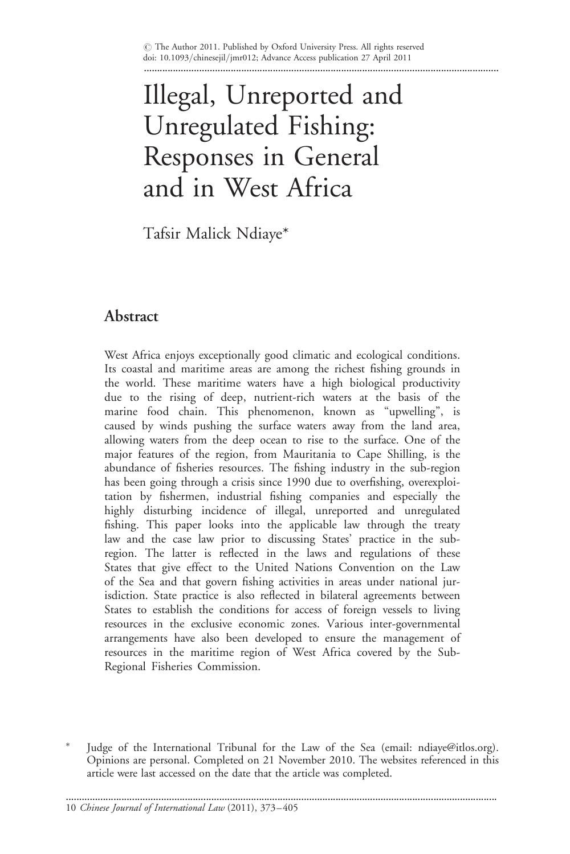$\odot$  The Author 2011. Published by Oxford University Press. All rights reserved doi: 10.1093/chinesejil/jmr012; Advance Access publication 27 April 2011

# Illegal, Unreported and Unregulated Fishing: Responses in General and in West Africa

Tafsir Malick Ndiaye\*

# Abstract

West Africa enjoys exceptionally good climatic and ecological conditions. Its coastal and maritime areas are among the richest fishing grounds in the world. These maritime waters have a high biological productivity due to the rising of deep, nutrient-rich waters at the basis of the marine food chain. This phenomenon, known as "upwelling", is caused by winds pushing the surface waters away from the land area, allowing waters from the deep ocean to rise to the surface. One of the major features of the region, from Mauritania to Cape Shilling, is the abundance of fisheries resources. The fishing industry in the sub-region has been going through a crisis since 1990 due to overfishing, overexploitation by fishermen, industrial fishing companies and especially the highly disturbing incidence of illegal, unreported and unregulated fishing. This paper looks into the applicable law through the treaty law and the case law prior to discussing States' practice in the subregion. The latter is reflected in the laws and regulations of these States that give effect to the United Nations Convention on the Law of the Sea and that govern fishing activities in areas under national jurisdiction. State practice is also reflected in bilateral agreements between States to establish the conditions for access of foreign vessels to living resources in the exclusive economic zones. Various inter-governmental arrangements have also been developed to ensure the management of resources in the maritime region of West Africa covered by the Sub-Regional Fisheries Commission.

Judge of the International Tribunal for the Law of the Sea (email: ndiaye@itlos.org). Opinions are personal. Completed on 21 November 2010. The websites referenced in this article were last accessed on the date that the article was completed.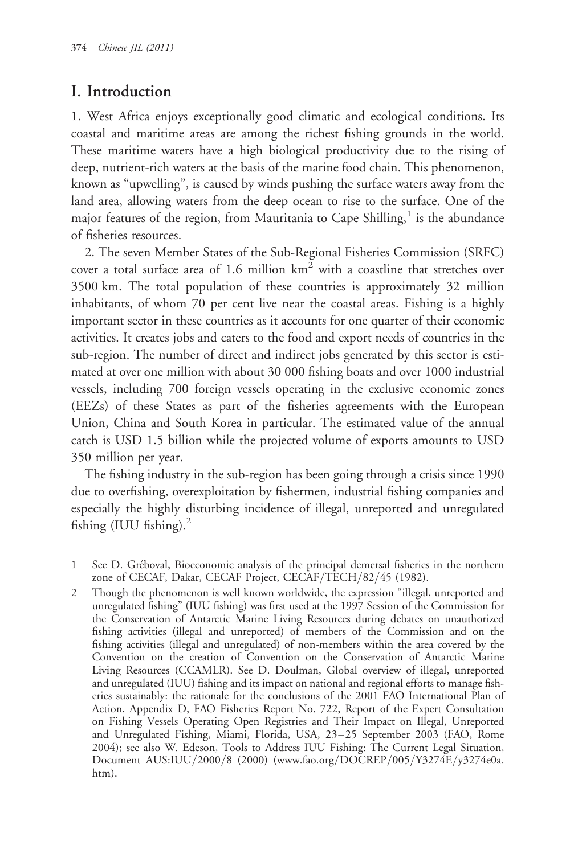# I. Introduction

1. West Africa enjoys exceptionally good climatic and ecological conditions. Its coastal and maritime areas are among the richest fishing grounds in the world. These maritime waters have a high biological productivity due to the rising of deep, nutrient-rich waters at the basis of the marine food chain. This phenomenon, known as "upwelling", is caused by winds pushing the surface waters away from the land area, allowing waters from the deep ocean to rise to the surface. One of the major features of the region, from Mauritania to Cape Shilling, $<sup>1</sup>$  is the abundance</sup> of fisheries resources.

2. The seven Member States of the Sub-Regional Fisheries Commission (SRFC) cover a total surface area of 1.6 million  $km^2$  with a coastline that stretches over 3500 km. The total population of these countries is approximately 32 million inhabitants, of whom 70 per cent live near the coastal areas. Fishing is a highly important sector in these countries as it accounts for one quarter of their economic activities. It creates jobs and caters to the food and export needs of countries in the sub-region. The number of direct and indirect jobs generated by this sector is estimated at over one million with about 30 000 fishing boats and over 1000 industrial vessels, including 700 foreign vessels operating in the exclusive economic zones (EEZs) of these States as part of the fisheries agreements with the European Union, China and South Korea in particular. The estimated value of the annual catch is USD 1.5 billion while the projected volume of exports amounts to USD 350 million per year.

The fishing industry in the sub-region has been going through a crisis since 1990 due to overfishing, overexploitation by fishermen, industrial fishing companies and especially the highly disturbing incidence of illegal, unreported and unregulated fishing (IUU fishing). $^{2}$ 

- 1 See D. Gre´boval, Bioeconomic analysis of the principal demersal fisheries in the northern zone of CECAF, Dakar, CECAF Project, CECAF/TECH/82/45 (1982).
- 2 Though the phenomenon is well known worldwide, the expression "illegal, unreported and unregulated fishing" (IUU fishing) was first used at the 1997 Session of the Commission for the Conservation of Antarctic Marine Living Resources during debates on unauthorized fishing activities (illegal and unreported) of members of the Commission and on the fishing activities (illegal and unregulated) of non-members within the area covered by the Convention on the creation of Convention on the Conservation of Antarctic Marine Living Resources (CCAMLR). See D. Doulman, Global overview of illegal, unreported and unregulated (IUU) fishing and its impact on national and regional efforts to manage fisheries sustainably: the rationale for the conclusions of the 2001 FAO International Plan of Action, Appendix D, FAO Fisheries Report No. 722, Report of the Expert Consultation on Fishing Vessels Operating Open Registries and Their Impact on Illegal, Unreported and Unregulated Fishing, Miami, Florida, USA, 23–25 September 2003 (FAO, Rome 2004); see also W. Edeson, Tools to Address IUU Fishing: The Current Legal Situation, Document AUS:IUU/2000/8 (2000) (www.fao.org/DOCREP/005/Y3274E/y3274e0a. htm).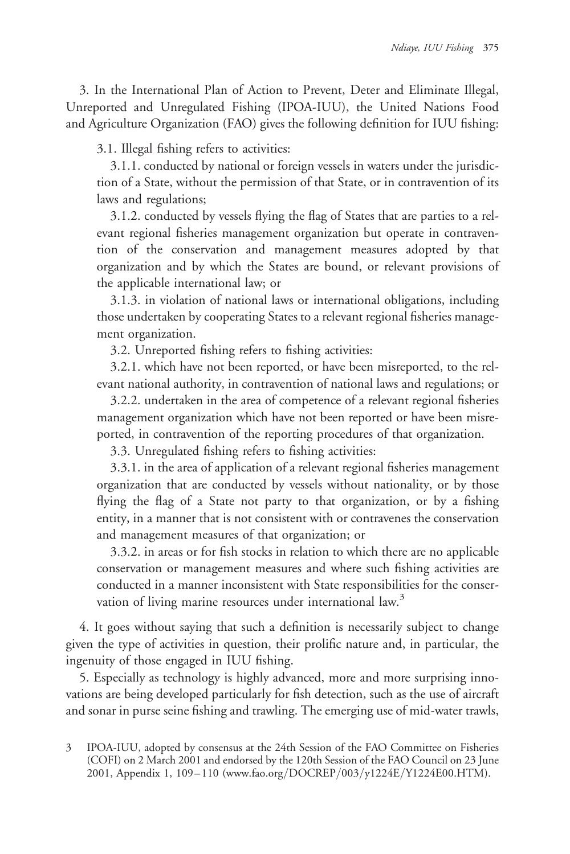3. In the International Plan of Action to Prevent, Deter and Eliminate Illegal, Unreported and Unregulated Fishing (IPOA-IUU), the United Nations Food and Agriculture Organization (FAO) gives the following definition for IUU fishing:

3.1. Illegal fishing refers to activities:

3.1.1. conducted by national or foreign vessels in waters under the jurisdiction of a State, without the permission of that State, or in contravention of its laws and regulations;

3.1.2. conducted by vessels flying the flag of States that are parties to a relevant regional fisheries management organization but operate in contravention of the conservation and management measures adopted by that organization and by which the States are bound, or relevant provisions of the applicable international law; or

3.1.3. in violation of national laws or international obligations, including those undertaken by cooperating States to a relevant regional fisheries management organization.

3.2. Unreported fishing refers to fishing activities:

3.2.1. which have not been reported, or have been misreported, to the relevant national authority, in contravention of national laws and regulations; or

3.2.2. undertaken in the area of competence of a relevant regional fisheries management organization which have not been reported or have been misreported, in contravention of the reporting procedures of that organization.

3.3. Unregulated fishing refers to fishing activities:

3.3.1. in the area of application of a relevant regional fisheries management organization that are conducted by vessels without nationality, or by those flying the flag of a State not party to that organization, or by a fishing entity, in a manner that is not consistent with or contravenes the conservation and management measures of that organization; or

3.3.2. in areas or for fish stocks in relation to which there are no applicable conservation or management measures and where such fishing activities are conducted in a manner inconsistent with State responsibilities for the conservation of living marine resources under international law.<sup>3</sup>

4. It goes without saying that such a definition is necessarily subject to change given the type of activities in question, their prolific nature and, in particular, the ingenuity of those engaged in IUU fishing.

5. Especially as technology is highly advanced, more and more surprising innovations are being developed particularly for fish detection, such as the use of aircraft and sonar in purse seine fishing and trawling. The emerging use of mid-water trawls,

<sup>3</sup> IPOA-IUU, adopted by consensus at the 24th Session of the FAO Committee on Fisheries (COFI) on 2 March 2001 and endorsed by the 120th Session of the FAO Council on 23 June 2001, Appendix 1, 109 –110 (www.fao.org/DOCREP/003/y1224E/Y1224E00.HTM).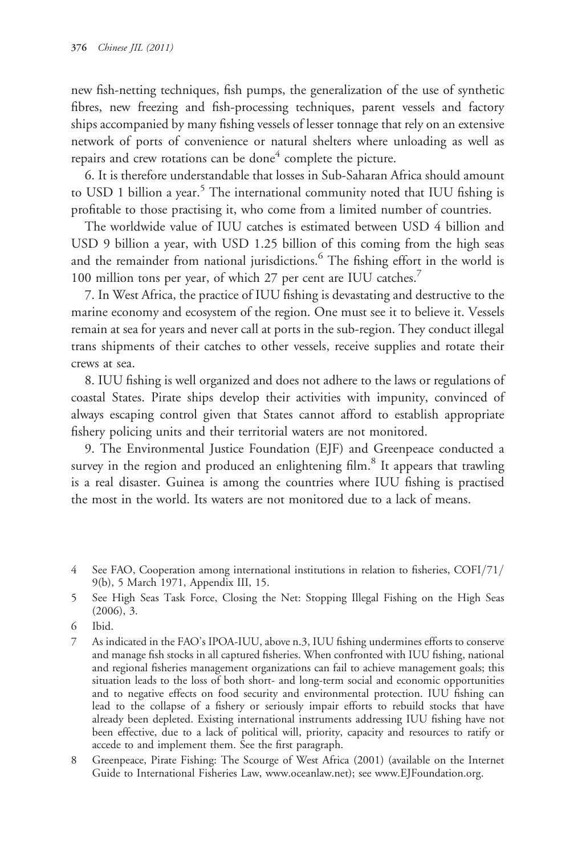new fish-netting techniques, fish pumps, the generalization of the use of synthetic fibres, new freezing and fish-processing techniques, parent vessels and factory ships accompanied by many fishing vessels of lesser tonnage that rely on an extensive network of ports of convenience or natural shelters where unloading as well as repairs and crew rotations can be done<sup>4</sup> complete the picture.

6. It is therefore understandable that losses in Sub-Saharan Africa should amount to USD 1 billion a year.<sup>5</sup> The international community noted that IUU fishing is profitable to those practising it, who come from a limited number of countries.

The worldwide value of IUU catches is estimated between USD 4 billion and USD 9 billion a year, with USD 1.25 billion of this coming from the high seas and the remainder from national jurisdictions.6 The fishing effort in the world is 100 million tons per year, of which 27 per cent are IUU catches.<sup>7</sup>

7. In West Africa, the practice of IUU fishing is devastating and destructive to the marine economy and ecosystem of the region. One must see it to believe it. Vessels remain at sea for years and never call at ports in the sub-region. They conduct illegal trans shipments of their catches to other vessels, receive supplies and rotate their crews at sea.

8. IUU fishing is well organized and does not adhere to the laws or regulations of coastal States. Pirate ships develop their activities with impunity, convinced of always escaping control given that States cannot afford to establish appropriate fishery policing units and their territorial waters are not monitored.

9. The Environmental Justice Foundation (EJF) and Greenpeace conducted a survey in the region and produced an enlightening film.<sup>8</sup> It appears that trawling is a real disaster. Guinea is among the countries where IUU fishing is practised the most in the world. Its waters are not monitored due to a lack of means.

4 See FAO, Cooperation among international institutions in relation to fisheries, COFI/71/ 9(b), 5 March 1971, Appendix III, 15.

5 See High Seas Task Force, Closing the Net: Stopping Illegal Fishing on the High Seas  $(2006), 3.$ 

- 6 Ibid.
- 7 As indicated in the FAO's IPOA-IUU, above n.3, IUU fishing undermines efforts to conserve and manage fish stocks in all captured fisheries. When confronted with IUU fishing, national and regional fisheries management organizations can fail to achieve management goals; this situation leads to the loss of both short- and long-term social and economic opportunities and to negative effects on food security and environmental protection. IUU fishing can lead to the collapse of a fishery or seriously impair efforts to rebuild stocks that have already been depleted. Existing international instruments addressing IUU fishing have not been effective, due to a lack of political will, priority, capacity and resources to ratify or accede to and implement them. See the first paragraph.
- 8 Greenpeace, Pirate Fishing: The Scourge of West Africa (2001) (available on the Internet Guide to International Fisheries Law, www.oceanlaw.net); see www.EJFoundation.org.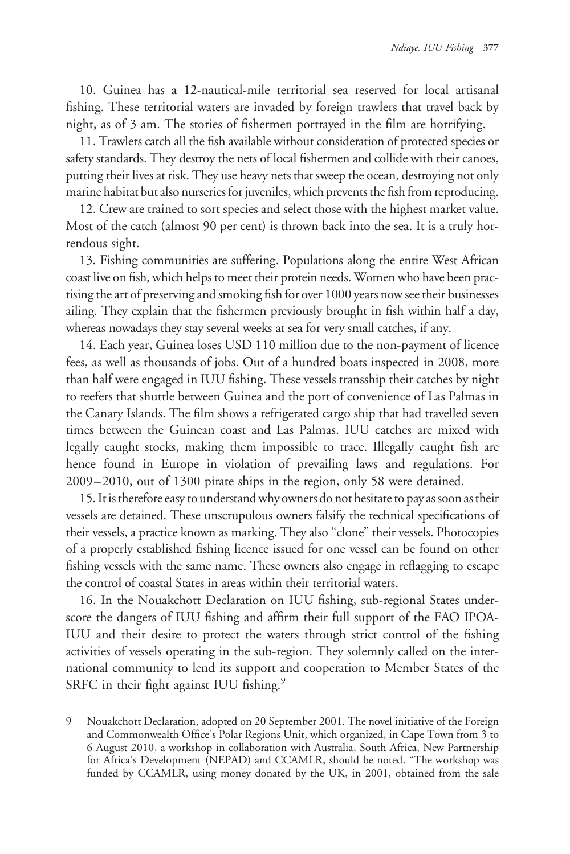10. Guinea has a 12-nautical-mile territorial sea reserved for local artisanal fishing. These territorial waters are invaded by foreign trawlers that travel back by night, as of 3 am. The stories of fishermen portrayed in the film are horrifying.

11. Trawlers catch all the fish available without consideration of protected species or safety standards. They destroy the nets of local fishermen and collide with their canoes, putting their lives at risk. They use heavy nets that sweep the ocean, destroying not only marine habitat but also nurseries for juveniles, which prevents the fish from reproducing.

12. Crew are trained to sort species and select those with the highest market value. Most of the catch (almost 90 per cent) is thrown back into the sea. It is a truly horrendous sight.

13. Fishing communities are suffering. Populations along the entire West African coast live on fish, which helps to meet their protein needs. Women who have been practising the art of preserving and smoking fish for over 1000 years now see their businesses ailing. They explain that the fishermen previously brought in fish within half a day, whereas nowadays they stay several weeks at sea for very small catches, if any.

14. Each year, Guinea loses USD 110 million due to the non-payment of licence fees, as well as thousands of jobs. Out of a hundred boats inspected in 2008, more than half were engaged in IUU fishing. These vessels transship their catches by night to reefers that shuttle between Guinea and the port of convenience of Las Palmas in the Canary Islands. The film shows a refrigerated cargo ship that had travelled seven times between the Guinean coast and Las Palmas. IUU catches are mixed with legally caught stocks, making them impossible to trace. Illegally caught fish are hence found in Europe in violation of prevailing laws and regulations. For 2009–2010, out of 1300 pirate ships in the region, only 58 were detained.

15. It is therefore easy to understand why owners do not hesitate to pay as soon as their vessels are detained. These unscrupulous owners falsify the technical specifications of their vessels, a practice known as marking. They also "clone" their vessels. Photocopies of a properly established fishing licence issued for one vessel can be found on other fishing vessels with the same name. These owners also engage in reflagging to escape the control of coastal States in areas within their territorial waters.

16. In the Nouakchott Declaration on IUU fishing, sub-regional States underscore the dangers of IUU fishing and affirm their full support of the FAO IPOA-IUU and their desire to protect the waters through strict control of the fishing activities of vessels operating in the sub-region. They solemnly called on the international community to lend its support and cooperation to Member States of the SRFC in their fight against IUU fishing.<sup>9</sup>

<sup>9</sup> Nouakchott Declaration, adopted on 20 September 2001. The novel initiative of the Foreign and Commonwealth Office's Polar Regions Unit, which organized, in Cape Town from 3 to 6 August 2010, a workshop in collaboration with Australia, South Africa, New Partnership for Africa's Development (NEPAD) and CCAMLR, should be noted. "The workshop was funded by CCAMLR, using money donated by the UK, in 2001, obtained from the sale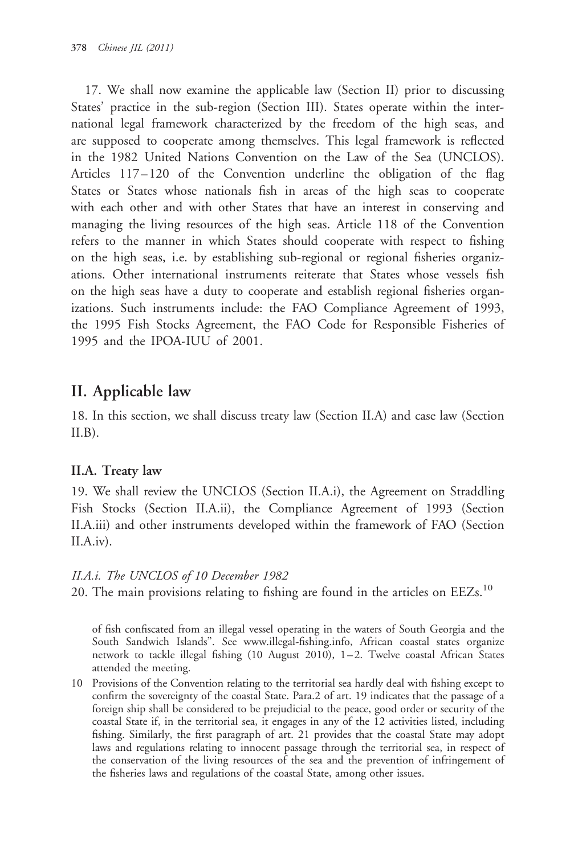17. We shall now examine the applicable law (Section II) prior to discussing States' practice in the sub-region (Section III). States operate within the international legal framework characterized by the freedom of the high seas, and are supposed to cooperate among themselves. This legal framework is reflected in the 1982 United Nations Convention on the Law of the Sea (UNCLOS). Articles 117–120 of the Convention underline the obligation of the flag States or States whose nationals fish in areas of the high seas to cooperate with each other and with other States that have an interest in conserving and managing the living resources of the high seas. Article 118 of the Convention refers to the manner in which States should cooperate with respect to fishing on the high seas, i.e. by establishing sub-regional or regional fisheries organizations. Other international instruments reiterate that States whose vessels fish on the high seas have a duty to cooperate and establish regional fisheries organizations. Such instruments include: the FAO Compliance Agreement of 1993, the 1995 Fish Stocks Agreement, the FAO Code for Responsible Fisheries of 1995 and the IPOA-IUU of 2001.

# II. Applicable law

18. In this section, we shall discuss treaty law (Section II.A) and case law (Section  $II.B$ ).

## II.A. Treaty law

19. We shall review the UNCLOS (Section II.A.i), the Agreement on Straddling Fish Stocks (Section II.A.ii), the Compliance Agreement of 1993 (Section II.A.iii) and other instruments developed within the framework of FAO (Section II.A.iv).

### II.A.i. The UNCLOS of 10 December 1982

20. The main provisions relating to fishing are found in the articles on  $EEZs$ .<sup>10</sup>

of fish confiscated from an illegal vessel operating in the waters of South Georgia and the South Sandwich Islands". See www.illegal-fishing.info, African coastal states organize network to tackle illegal fishing (10 August 2010), 1–2. Twelve coastal African States attended the meeting.

10 Provisions of the Convention relating to the territorial sea hardly deal with fishing except to confirm the sovereignty of the coastal State. Para.2 of art. 19 indicates that the passage of a foreign ship shall be considered to be prejudicial to the peace, good order or security of the coastal State if, in the territorial sea, it engages in any of the 12 activities listed, including fishing. Similarly, the first paragraph of art. 21 provides that the coastal State may adopt laws and regulations relating to innocent passage through the territorial sea, in respect of the conservation of the living resources of the sea and the prevention of infringement of the fisheries laws and regulations of the coastal State, among other issues.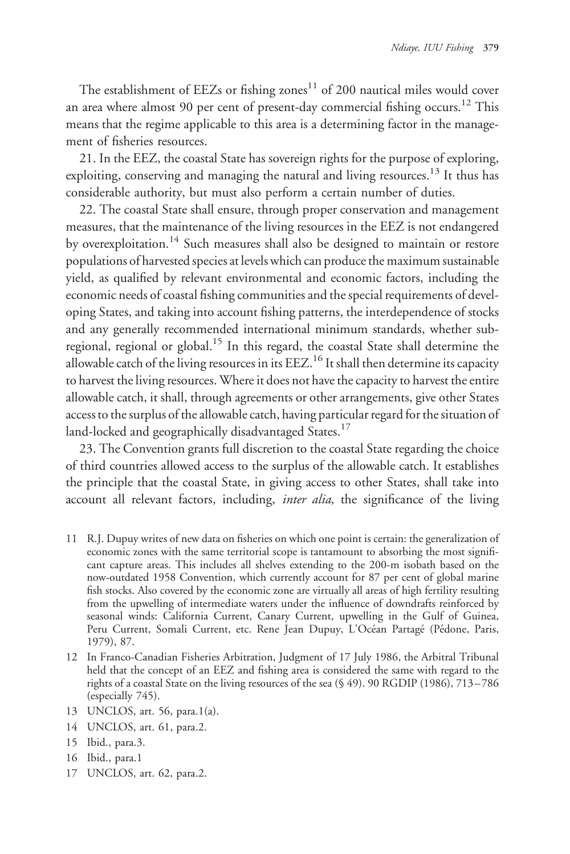The establishment of EEZs or fishing zones<sup>11</sup> of 200 nautical miles would cover an area where almost 90 per cent of present-day commercial fishing occurs.<sup>12</sup> This means that the regime applicable to this area is a determining factor in the management of fisheries resources.

21. In the EEZ, the coastal State has sovereign rights for the purpose of exploring, exploiting, conserving and managing the natural and living resources.<sup>13</sup> It thus has considerable authority, but must also perform a certain number of duties.

22. The coastal State shall ensure, through proper conservation and management measures, that the maintenance of the living resources in the EEZ is not endangered by overexploitation.<sup>14</sup> Such measures shall also be designed to maintain or restore populations of harvested species at levels which can produce the maximum sustainable yield, as qualified by relevant environmental and economic factors, including the economic needs of coastal fishing communities and the special requirements of developing States, and taking into account fishing patterns, the interdependence of stocks and any generally recommended international minimum standards, whether subregional, regional or global.<sup>15</sup> In this regard, the coastal State shall determine the allowable catch of the living resources in its EEZ.<sup>16</sup> It shall then determine its capacity to harvest the living resources. Where it does not have the capacity to harvest the entire allowable catch, it shall, through agreements or other arrangements, give other States access to the surplus of the allowable catch, having particular regard for the situation of land-locked and geographically disadvantaged States.<sup>17</sup>

23. The Convention grants full discretion to the coastal State regarding the choice of third countries allowed access to the surplus of the allowable catch. It establishes the principle that the coastal State, in giving access to other States, shall take into account all relevant factors, including, *inter alia*, the significance of the living

- 11 R.J. Dupuy writes of new data on fisheries on which one point is certain: the generalization of economic zones with the same territorial scope is tantamount to absorbing the most significant capture areas. This includes all shelves extending to the 200-m isobath based on the now-outdated 1958 Convention, which currently account for 87 per cent of global marine fish stocks. Also covered by the economic zone are virtually all areas of high fertility resulting from the upwelling of intermediate waters under the influence of downdrafts reinforced by seasonal winds: California Current, Canary Current, upwelling in the Gulf of Guinea, Peru Current, Somali Current, etc. Rene Jean Dupuy, L'Océan Partagé (Pédone, Paris, 1979), 87.
- 12 In Franco-Canadian Fisheries Arbitration, Judgment of 17 July 1986, the Arbitral Tribunal held that the concept of an EEZ and fishing area is considered the same with regard to the rights of a coastal State on the living resources of the sea (§ 49). 90 RGDIP (1986), 713 –786 (especially 745).
- 13 UNCLOS, art. 56, para.1(a).
- 14 UNCLOS, art. 61, para.2.
- 15 Ibid., para.3.
- 16 Ibid., para.1
- 17 UNCLOS, art. 62, para.2.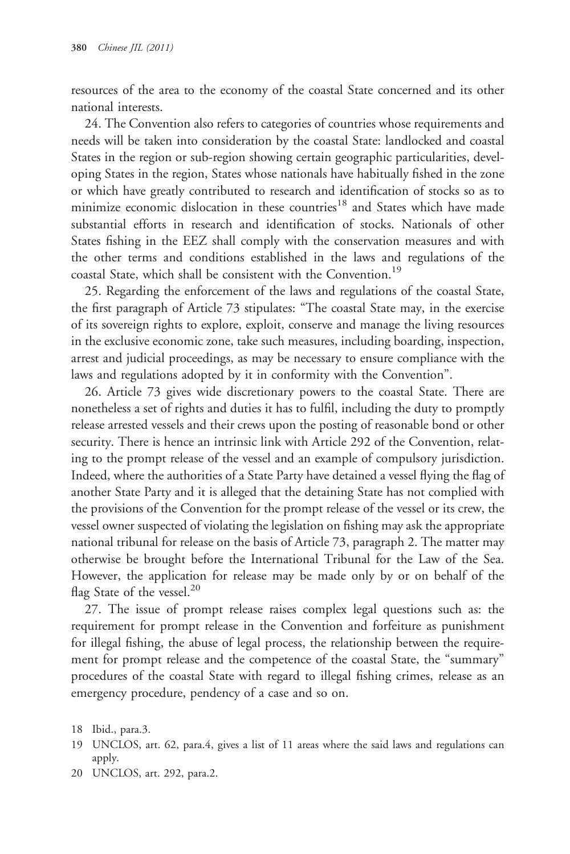resources of the area to the economy of the coastal State concerned and its other national interests.

24. The Convention also refers to categories of countries whose requirements and needs will be taken into consideration by the coastal State: landlocked and coastal States in the region or sub-region showing certain geographic particularities, developing States in the region, States whose nationals have habitually fished in the zone or which have greatly contributed to research and identification of stocks so as to minimize economic dislocation in these countries<sup>18</sup> and States which have made substantial efforts in research and identification of stocks. Nationals of other States fishing in the EEZ shall comply with the conservation measures and with the other terms and conditions established in the laws and regulations of the coastal State, which shall be consistent with the Convention.<sup>19</sup>

25. Regarding the enforcement of the laws and regulations of the coastal State, the first paragraph of Article 73 stipulates: "The coastal State may, in the exercise of its sovereign rights to explore, exploit, conserve and manage the living resources in the exclusive economic zone, take such measures, including boarding, inspection, arrest and judicial proceedings, as may be necessary to ensure compliance with the laws and regulations adopted by it in conformity with the Convention".

26. Article 73 gives wide discretionary powers to the coastal State. There are nonetheless a set of rights and duties it has to fulfil, including the duty to promptly release arrested vessels and their crews upon the posting of reasonable bond or other security. There is hence an intrinsic link with Article 292 of the Convention, relating to the prompt release of the vessel and an example of compulsory jurisdiction. Indeed, where the authorities of a State Party have detained a vessel flying the flag of another State Party and it is alleged that the detaining State has not complied with the provisions of the Convention for the prompt release of the vessel or its crew, the vessel owner suspected of violating the legislation on fishing may ask the appropriate national tribunal for release on the basis of Article 73, paragraph 2. The matter may otherwise be brought before the International Tribunal for the Law of the Sea. However, the application for release may be made only by or on behalf of the flag State of the vessel. $^{20}$ 

27. The issue of prompt release raises complex legal questions such as: the requirement for prompt release in the Convention and forfeiture as punishment for illegal fishing, the abuse of legal process, the relationship between the requirement for prompt release and the competence of the coastal State, the "summary" procedures of the coastal State with regard to illegal fishing crimes, release as an emergency procedure, pendency of a case and so on.

20 UNCLOS, art. 292, para.2.

<sup>18</sup> Ibid., para.3.

<sup>19</sup> UNCLOS, art. 62, para.4, gives a list of 11 areas where the said laws and regulations can apply.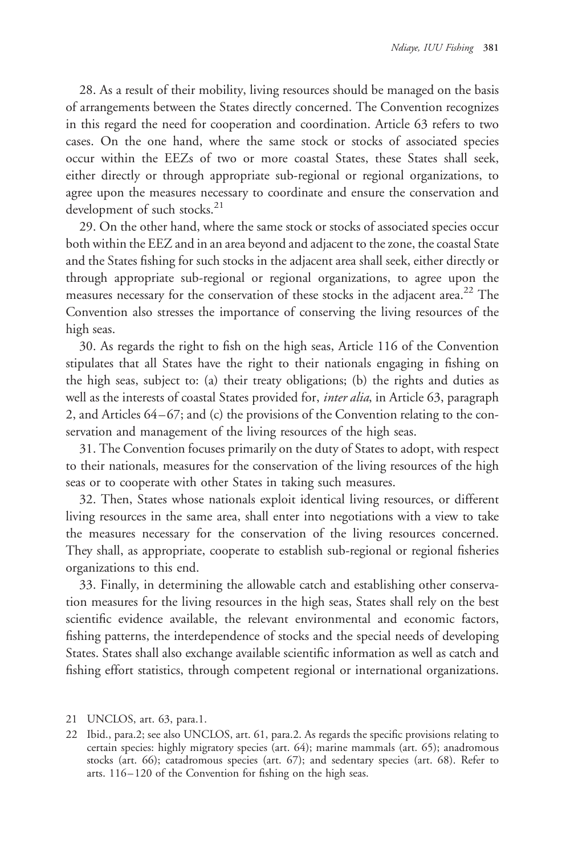28. As a result of their mobility, living resources should be managed on the basis of arrangements between the States directly concerned. The Convention recognizes in this regard the need for cooperation and coordination. Article 63 refers to two cases. On the one hand, where the same stock or stocks of associated species occur within the EEZs of two or more coastal States, these States shall seek, either directly or through appropriate sub-regional or regional organizations, to agree upon the measures necessary to coordinate and ensure the conservation and development of such stocks.<sup>21</sup>

29. On the other hand, where the same stock or stocks of associated species occur both within the EEZ and in an area beyond and adjacent to the zone, the coastal State and the States fishing for such stocks in the adjacent area shall seek, either directly or through appropriate sub-regional or regional organizations, to agree upon the measures necessary for the conservation of these stocks in the adjacent area.<sup>22</sup> The Convention also stresses the importance of conserving the living resources of the high seas.

30. As regards the right to fish on the high seas, Article 116 of the Convention stipulates that all States have the right to their nationals engaging in fishing on the high seas, subject to: (a) their treaty obligations; (b) the rights and duties as well as the interests of coastal States provided for, *inter alia*, in Article 63, paragraph 2, and Articles 64–67; and (c) the provisions of the Convention relating to the conservation and management of the living resources of the high seas.

31. The Convention focuses primarily on the duty of States to adopt, with respect to their nationals, measures for the conservation of the living resources of the high seas or to cooperate with other States in taking such measures.

32. Then, States whose nationals exploit identical living resources, or different living resources in the same area, shall enter into negotiations with a view to take the measures necessary for the conservation of the living resources concerned. They shall, as appropriate, cooperate to establish sub-regional or regional fisheries organizations to this end.

33. Finally, in determining the allowable catch and establishing other conservation measures for the living resources in the high seas, States shall rely on the best scientific evidence available, the relevant environmental and economic factors, fishing patterns, the interdependence of stocks and the special needs of developing States. States shall also exchange available scientific information as well as catch and fishing effort statistics, through competent regional or international organizations.

<sup>21</sup> UNCLOS, art. 63, para.1.

<sup>22</sup> Ibid., para.2; see also UNCLOS, art. 61, para.2. As regards the specific provisions relating to certain species: highly migratory species (art. 64); marine mammals (art. 65); anadromous stocks (art. 66); catadromous species (art. 67); and sedentary species (art. 68). Refer to arts. 116–120 of the Convention for fishing on the high seas.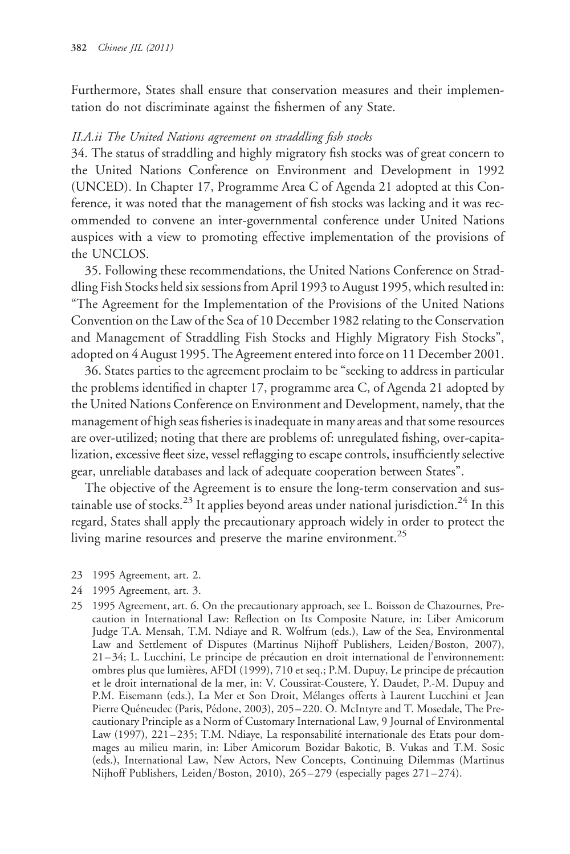Furthermore, States shall ensure that conservation measures and their implementation do not discriminate against the fishermen of any State.

#### II.A.ii The United Nations agreement on straddling fish stocks

34. The status of straddling and highly migratory fish stocks was of great concern to the United Nations Conference on Environment and Development in 1992 (UNCED). In Chapter 17, Programme Area C of Agenda 21 adopted at this Conference, it was noted that the management of fish stocks was lacking and it was recommended to convene an inter-governmental conference under United Nations auspices with a view to promoting effective implementation of the provisions of the UNCLOS.

35. Following these recommendations, the United Nations Conference on Straddling Fish Stocks held six sessions from April 1993 to August 1995, which resulted in: "The Agreement for the Implementation of the Provisions of the United Nations Convention on the Law of the Sea of 10 December 1982 relating to the Conservation and Management of Straddling Fish Stocks and Highly Migratory Fish Stocks", adopted on 4 August 1995. The Agreement entered into force on 11 December 2001.

36. States parties to the agreement proclaim to be "seeking to address in particular the problems identified in chapter 17, programme area C, of Agenda 21 adopted by the United Nations Conference on Environment and Development, namely, that the management of high seas fisheries is inadequate in many areas and that some resources are over-utilized; noting that there are problems of: unregulated fishing, over-capitalization, excessive fleet size, vessel reflagging to escape controls, insufficiently selective gear, unreliable databases and lack of adequate cooperation between States".

The objective of the Agreement is to ensure the long-term conservation and sustainable use of stocks.<sup>23</sup> It applies beyond areas under national jurisdiction.<sup>24</sup> In this regard, States shall apply the precautionary approach widely in order to protect the living marine resources and preserve the marine environment.<sup>25</sup>

- 23 1995 Agreement, art. 2.
- 24 1995 Agreement, art. 3.
- 25 1995 Agreement, art. 6. On the precautionary approach, see L. Boisson de Chazournes, Precaution in International Law: Reflection on Its Composite Nature, in: Liber Amicorum Judge T.A. Mensah, T.M. Ndiaye and R. Wolfrum (eds.), Law of the Sea, Environmental Law and Settlement of Disputes (Martinus Nijhoff Publishers, Leiden/Boston, 2007),  $21-34$ ; L. Lucchini, Le principe de précaution en droit international de l'environnement: ombres plus que lumières, AFDI (1999), 710 et seq.; P.M. Dupuy, Le principe de précaution et le droit international de la mer, in: V. Coussirat-Coustere, Y. Daudet, P.-M. Dupuy and P.M. Eisemann (eds.), La Mer et Son Droit, Mélanges offerts à Laurent Lucchini et Jean Pierre Quéneudec (Paris, Pédone, 2003), 205 – 220. O. McIntyre and T. Mosedale, The Precautionary Principle as a Norm of Customary International Law, 9 Journal of Environmental Law (1997), 221-235; T.M. Ndiaye, La responsabilité internationale des Etats pour dommages au milieu marin, in: Liber Amicorum Bozidar Bakotic, B. Vukas and T.M. Sosic (eds.), International Law, New Actors, New Concepts, Continuing Dilemmas (Martinus Nijhoff Publishers, Leiden/Boston, 2010), 265 –279 (especially pages 271 –274).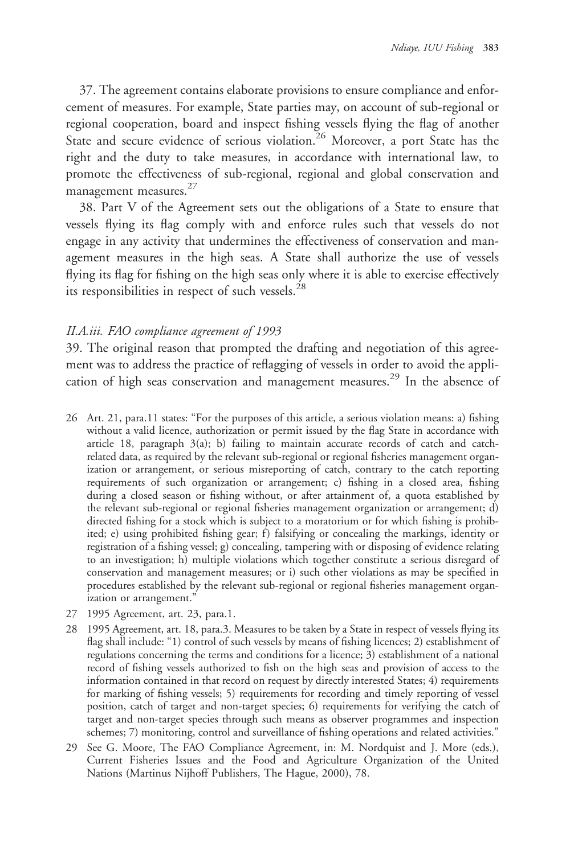37. The agreement contains elaborate provisions to ensure compliance and enforcement of measures. For example, State parties may, on account of sub-regional or regional cooperation, board and inspect fishing vessels flying the flag of another State and secure evidence of serious violation.<sup>26</sup> Moreover, a port State has the right and the duty to take measures, in accordance with international law, to promote the effectiveness of sub-regional, regional and global conservation and management measures.<sup>27</sup>

38. Part V of the Agreement sets out the obligations of a State to ensure that vessels flying its flag comply with and enforce rules such that vessels do not engage in any activity that undermines the effectiveness of conservation and management measures in the high seas. A State shall authorize the use of vessels flying its flag for fishing on the high seas only where it is able to exercise effectively its responsibilities in respect of such vessels.<sup>28</sup>

#### II.A.iii. FAO compliance agreement of 1993

39. The original reason that prompted the drafting and negotiation of this agreement was to address the practice of reflagging of vessels in order to avoid the application of high seas conservation and management measures.29 In the absence of

- 26 Art. 21, para.11 states: "For the purposes of this article, a serious violation means: a) fishing without a valid licence, authorization or permit issued by the flag State in accordance with article 18, paragraph 3(a); b) failing to maintain accurate records of catch and catchrelated data, as required by the relevant sub-regional or regional fisheries management organization or arrangement, or serious misreporting of catch, contrary to the catch reporting requirements of such organization or arrangement; c) fishing in a closed area, fishing during a closed season or fishing without, or after attainment of, a quota established by the relevant sub-regional or regional fisheries management organization or arrangement; d) directed fishing for a stock which is subject to a moratorium or for which fishing is prohibited; e) using prohibited fishing gear;  $\hat{f}$ ) falsifying or concealing the markings, identity or registration of a fishing vessel; g) concealing, tampering with or disposing of evidence relating to an investigation; h) multiple violations which together constitute a serious disregard of conservation and management measures; or i) such other violations as may be specified in procedures established by the relevant sub-regional or regional fisheries management organization or arrangement."
- 27 1995 Agreement, art. 23, para.1.
- 28 1995 Agreement, art. 18, para.3. Measures to be taken by a State in respect of vessels flying its flag shall include: "1) control of such vessels by means of fishing licences; 2) establishment of regulations concerning the terms and conditions for a licence; 3) establishment of a national record of fishing vessels authorized to fish on the high seas and provision of access to the information contained in that record on request by directly interested States; 4) requirements for marking of fishing vessels; 5) requirements for recording and timely reporting of vessel position, catch of target and non-target species; 6) requirements for verifying the catch of target and non-target species through such means as observer programmes and inspection schemes; 7) monitoring, control and surveillance of fishing operations and related activities."
- 29 See G. Moore, The FAO Compliance Agreement, in: M. Nordquist and J. More (eds.), Current Fisheries Issues and the Food and Agriculture Organization of the United Nations (Martinus Nijhoff Publishers, The Hague, 2000), 78.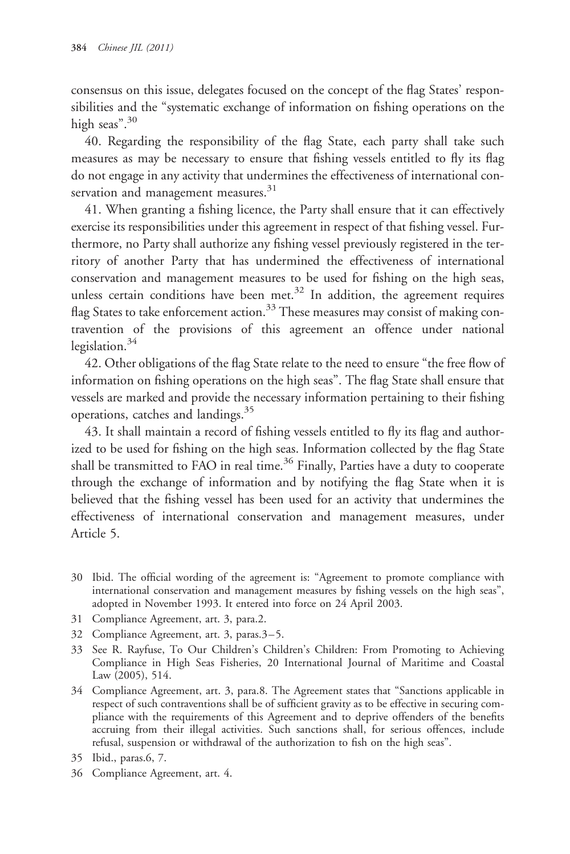consensus on this issue, delegates focused on the concept of the flag States' responsibilities and the "systematic exchange of information on fishing operations on the high seas".<sup>30</sup>

40. Regarding the responsibility of the flag State, each party shall take such measures as may be necessary to ensure that fishing vessels entitled to fly its flag do not engage in any activity that undermines the effectiveness of international conservation and management measures.<sup>31</sup>

41. When granting a fishing licence, the Party shall ensure that it can effectively exercise its responsibilities under this agreement in respect of that fishing vessel. Furthermore, no Party shall authorize any fishing vessel previously registered in the territory of another Party that has undermined the effectiveness of international conservation and management measures to be used for fishing on the high seas, unless certain conditions have been met.<sup>32</sup> In addition, the agreement requires flag States to take enforcement action.<sup>33</sup> These measures may consist of making contravention of the provisions of this agreement an offence under national legislation.<sup>34</sup>

42. Other obligations of the flag State relate to the need to ensure "the free flow of information on fishing operations on the high seas". The flag State shall ensure that vessels are marked and provide the necessary information pertaining to their fishing operations, catches and landings.35

43. It shall maintain a record of fishing vessels entitled to fly its flag and authorized to be used for fishing on the high seas. Information collected by the flag State shall be transmitted to FAO in real time.<sup>36</sup> Finally, Parties have a duty to cooperate through the exchange of information and by notifying the flag State when it is believed that the fishing vessel has been used for an activity that undermines the effectiveness of international conservation and management measures, under Article 5.

- 30 Ibid. The official wording of the agreement is: "Agreement to promote compliance with international conservation and management measures by fishing vessels on the high seas", adopted in November 1993. It entered into force on 24 April 2003.
- 31 Compliance Agreement, art. 3, para.2.
- 32 Compliance Agreement, art. 3, paras.3-5.
- 33 See R. Rayfuse, To Our Children's Children's Children: From Promoting to Achieving Compliance in High Seas Fisheries, 20 International Journal of Maritime and Coastal Law (2005), 514.
- 34 Compliance Agreement, art. 3, para.8. The Agreement states that "Sanctions applicable in respect of such contraventions shall be of sufficient gravity as to be effective in securing compliance with the requirements of this Agreement and to deprive offenders of the benefits accruing from their illegal activities. Such sanctions shall, for serious offences, include refusal, suspension or withdrawal of the authorization to fish on the high seas".
- 35 Ibid., paras.6, 7.
- 36 Compliance Agreement, art. 4.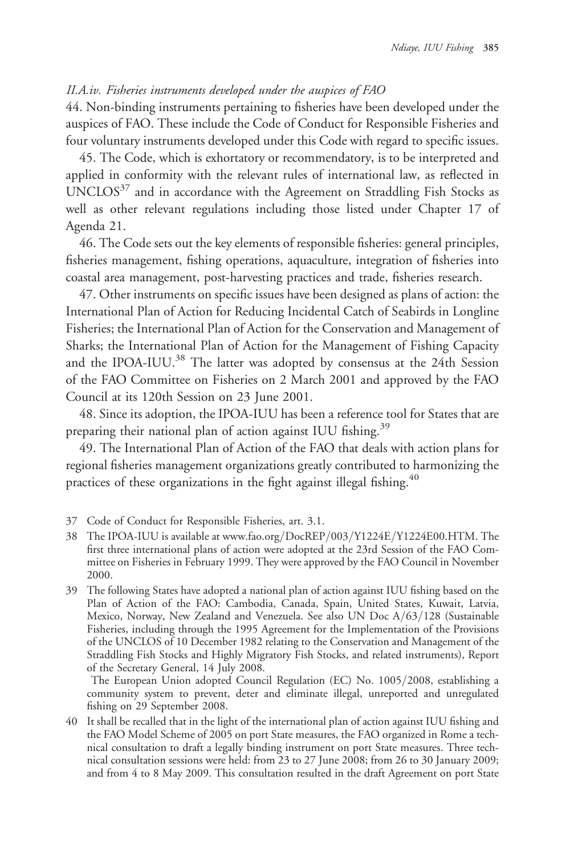#### II.A.iv. Fisheries instruments developed under the auspices of FAO

44. Non-binding instruments pertaining to fisheries have been developed under the auspices of FAO. These include the Code of Conduct for Responsible Fisheries and four voluntary instruments developed under this Code with regard to specific issues.

45. The Code, which is exhortatory or recommendatory, is to be interpreted and applied in conformity with the relevant rules of international law, as reflected in UNCLOS<sup>37</sup> and in accordance with the Agreement on Straddling Fish Stocks as well as other relevant regulations including those listed under Chapter 17 of Agenda 21.

46. The Code sets out the key elements of responsible fisheries: general principles, fisheries management, fishing operations, aquaculture, integration of fisheries into coastal area management, post-harvesting practices and trade, fisheries research.

47. Other instruments on specific issues have been designed as plans of action: the International Plan of Action for Reducing Incidental Catch of Seabirds in Longline Fisheries; the International Plan of Action for the Conservation and Management of Sharks; the International Plan of Action for the Management of Fishing Capacity and the IPOA-IUU.<sup>38</sup> The latter was adopted by consensus at the 24th Session of the FAO Committee on Fisheries on 2 March 2001 and approved by the FAO Council at its 120th Session on 23 June 2001.

48. Since its adoption, the IPOA-IUU has been a reference tool for States that are preparing their national plan of action against IUU fishing.<sup>39</sup>

49. The International Plan of Action of the FAO that deals with action plans for regional fisheries management organizations greatly contributed to harmonizing the practices of these organizations in the fight against illegal fishing.<sup>40</sup>

- 37 Code of Conduct for Responsible Fisheries, art. 3.1.
- 38 The IPOA-IUU is available at www.fao.org/DocREP/003/Y1224E/Y1224E00.HTM. The first three international plans of action were adopted at the 23rd Session of the FAO Committee on Fisheries in February 1999. They were approved by the FAO Council in November 2000.
- 39 The following States have adopted a national plan of action against IUU fishing based on the Plan of Action of the FAO: Cambodia, Canada, Spain, United States, Kuwait, Latvia, Mexico, Norway, New Zealand and Venezuela. See also UN Doc A/63/128 (Sustainable Fisheries, including through the 1995 Agreement for the Implementation of the Provisions of the UNCLOS of 10 December 1982 relating to the Conservation and Management of the Straddling Fish Stocks and Highly Migratory Fish Stocks, and related instruments), Report of the Secretary General, 14 July 2008.

The European Union adopted Council Regulation (EC) No. 1005/2008, establishing a community system to prevent, deter and eliminate illegal, unreported and unregulated fishing on 29 September 2008.

40 It shall be recalled that in the light of the international plan of action against IUU fishing and the FAO Model Scheme of 2005 on port State measures, the FAO organized in Rome a technical consultation to draft a legally binding instrument on port State measures. Three technical consultation sessions were held: from 23 to 27 June 2008; from 26 to 30 January 2009; and from 4 to 8 May 2009. This consultation resulted in the draft Agreement on port State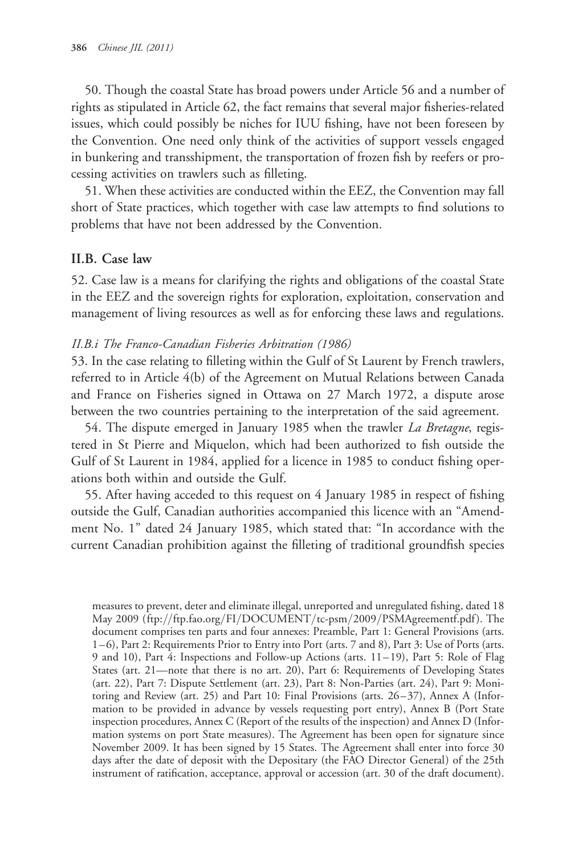50. Though the coastal State has broad powers under Article 56 and a number of rights as stipulated in Article 62, the fact remains that several major fisheries-related issues, which could possibly be niches for IUU fishing, have not been foreseen by the Convention. One need only think of the activities of support vessels engaged in bunkering and transshipment, the transportation of frozen fish by reefers or processing activities on trawlers such as filleting.

51. When these activities are conducted within the EEZ, the Convention may fall short of State practices, which together with case law attempts to find solutions to problems that have not been addressed by the Convention.

#### II.B. Case law

52. Case law is a means for clarifying the rights and obligations of the coastal State in the EEZ and the sovereign rights for exploration, exploitation, conservation and management of living resources as well as for enforcing these laws and regulations.

#### II.B.i The Franco-Canadian Fisheries Arbitration (1986)

53. In the case relating to filleting within the Gulf of St Laurent by French trawlers, referred to in Article 4(b) of the Agreement on Mutual Relations between Canada and France on Fisheries signed in Ottawa on 27 March 1972, a dispute arose between the two countries pertaining to the interpretation of the said agreement.

54. The dispute emerged in January 1985 when the trawler *La Bretagne*, registered in St Pierre and Miquelon, which had been authorized to fish outside the Gulf of St Laurent in 1984, applied for a licence in 1985 to conduct fishing operations both within and outside the Gulf.

55. After having acceded to this request on 4 January 1985 in respect of fishing outside the Gulf, Canadian authorities accompanied this licence with an "Amendment No. 1" dated 24 January 1985, which stated that: "In accordance with the current Canadian prohibition against the filleting of traditional groundfish species

measures to prevent, deter and eliminate illegal, unreported and unregulated fishing, dated 18 May 2009 (ftp://ftp.fao.org/FI/DOCUMENT/tc-psm/2009/PSMAgreementf.pdf). The document comprises ten parts and four annexes: Preamble, Part 1: General Provisions (arts. 1–6), Part 2: Requirements Prior to Entry into Port (arts. 7 and 8), Part 3: Use of Ports (arts. 9 and 10), Part 4: Inspections and Follow-up Actions (arts. 11 –19), Part 5: Role of Flag States (art. 21—note that there is no art. 20), Part 6: Requirements of Developing States (art. 22), Part 7: Dispute Settlement (art. 23), Part 8: Non-Parties (art. 24), Part 9: Monitoring and Review (art. 25) and Part 10: Final Provisions (arts. 26–37), Annex A (Information to be provided in advance by vessels requesting port entry), Annex B (Port State inspection procedures, Annex C (Report of the results of the inspection) and Annex D (Information systems on port State measures). The Agreement has been open for signature since November 2009. It has been signed by 15 States. The Agreement shall enter into force 30 days after the date of deposit with the Depositary (the FAO Director General) of the 25th instrument of ratification, acceptance, approval or accession (art. 30 of the draft document).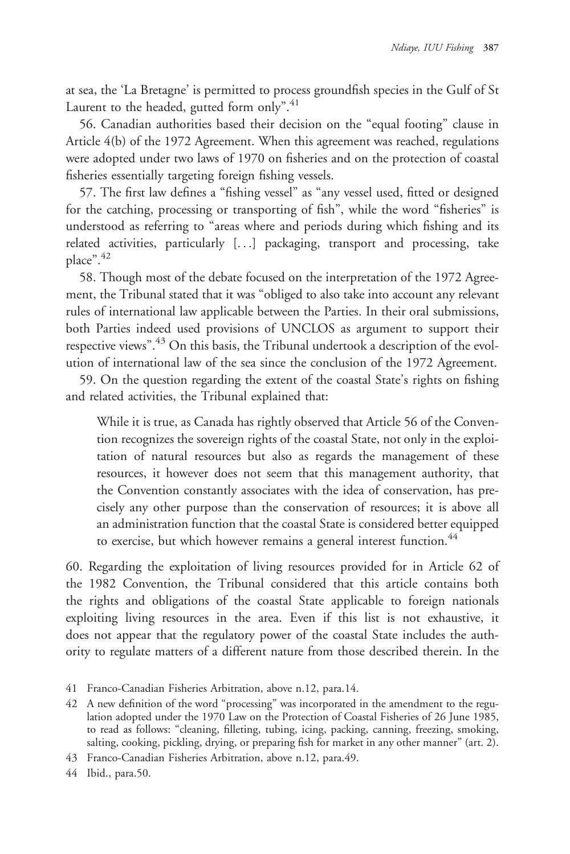at sea, the 'La Bretagne' is permitted to process groundfish species in the Gulf of St Laurent to the headed, gutted form only".<sup>41</sup>

56. Canadian authorities based their decision on the "equal footing" clause in Article 4(b) of the 1972 Agreement. When this agreement was reached, regulations were adopted under two laws of 1970 on fisheries and on the protection of coastal fisheries essentially targeting foreign fishing vessels.

57. The first law defines a "fishing vessel" as "any vessel used, fitted or designed for the catching, processing or transporting of fish", while the word "fisheries" is understood as referring to "areas where and periods during which fishing and its related activities, particularly [...] packaging, transport and processing, take place".<sup>42</sup>

58. Though most of the debate focused on the interpretation of the 1972 Agreement, the Tribunal stated that it was "obliged to also take into account any relevant rules of international law applicable between the Parties. In their oral submissions, both Parties indeed used provisions of UNCLOS as argument to support their respective views".43 On this basis, the Tribunal undertook a description of the evolution of international law of the sea since the conclusion of the 1972 Agreement.

59. On the question regarding the extent of the coastal State's rights on fishing and related activities, the Tribunal explained that:

While it is true, as Canada has rightly observed that Article 56 of the Convention recognizes the sovereign rights of the coastal State, not only in the exploitation of natural resources but also as regards the management of these resources, it however does not seem that this management authority, that the Convention constantly associates with the idea of conservation, has precisely any other purpose than the conservation of resources; it is above all an administration function that the coastal State is considered better equipped to exercise, but which however remains a general interest function.<sup>44</sup>

60. Regarding the exploitation of living resources provided for in Article 62 of the 1982 Convention, the Tribunal considered that this article contains both the rights and obligations of the coastal State applicable to foreign nationals exploiting living resources in the area. Even if this list is not exhaustive, it does not appear that the regulatory power of the coastal State includes the authority to regulate matters of a different nature from those described therein. In the

<sup>41</sup> Franco-Canadian Fisheries Arbitration, above n.12, para.14.

<sup>42</sup> A new definition of the word "processing" was incorporated in the amendment to the regulation adopted under the 1970 Law on the Protection of Coastal Fisheries of 26 June 1985, to read as follows: "cleaning, filleting, tubing, icing, packing, canning, freezing, smoking, salting, cooking, pickling, drying, or preparing fish for market in any other manner" (art. 2).

<sup>43</sup> Franco-Canadian Fisheries Arbitration, above n.12, para.49.

<sup>44</sup> Ibid., para.50.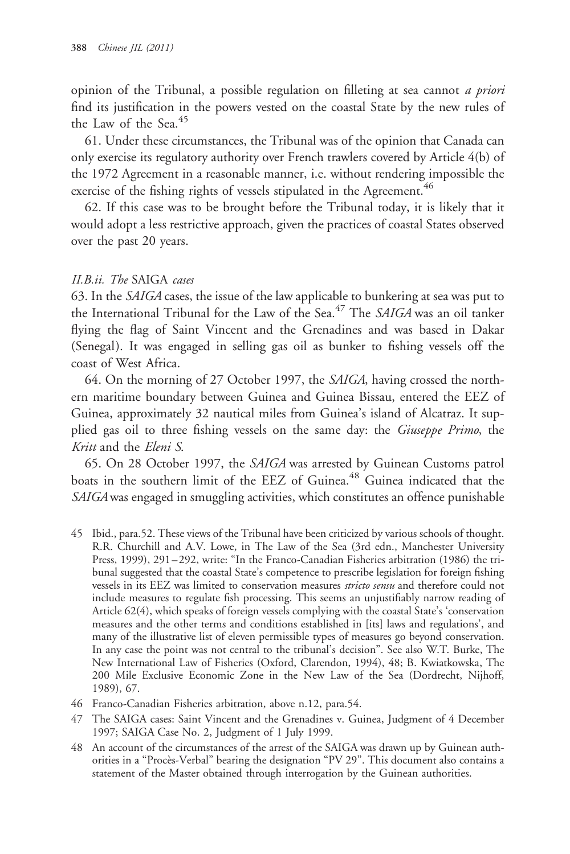opinion of the Tribunal, a possible regulation on filleting at sea cannot a priori find its justification in the powers vested on the coastal State by the new rules of the Law of the Sea. $45$ 

61. Under these circumstances, the Tribunal was of the opinion that Canada can only exercise its regulatory authority over French trawlers covered by Article 4(b) of the 1972 Agreement in a reasonable manner, i.e. without rendering impossible the exercise of the fishing rights of vessels stipulated in the Agreement.<sup>46</sup>

62. If this case was to be brought before the Tribunal today, it is likely that it would adopt a less restrictive approach, given the practices of coastal States observed over the past 20 years.

#### II.B.ii. The SAIGA cases

63. In the SAIGA cases, the issue of the law applicable to bunkering at sea was put to the International Tribunal for the Law of the Sea.<sup>47</sup> The SAIGA was an oil tanker flying the flag of Saint Vincent and the Grenadines and was based in Dakar (Senegal). It was engaged in selling gas oil as bunker to fishing vessels off the coast of West Africa.

64. On the morning of 27 October 1997, the SAIGA, having crossed the northern maritime boundary between Guinea and Guinea Bissau, entered the EEZ of Guinea, approximately 32 nautical miles from Guinea's island of Alcatraz. It supplied gas oil to three fishing vessels on the same day: the Giuseppe Primo, the Kritt and the Eleni S.

65. On 28 October 1997, the SAIGA was arrested by Guinean Customs patrol boats in the southern limit of the EEZ of Guinea.<sup>48</sup> Guinea indicated that the SAIGA was engaged in smuggling activities, which constitutes an offence punishable

- 45 Ibid., para.52. These views of the Tribunal have been criticized by various schools of thought. R.R. Churchill and A.V. Lowe, in The Law of the Sea (3rd edn., Manchester University Press, 1999), 291 –292, write: "In the Franco-Canadian Fisheries arbitration (1986) the tribunal suggested that the coastal State's competence to prescribe legislation for foreign fishing vessels in its EEZ was limited to conservation measures stricto sensu and therefore could not include measures to regulate fish processing. This seems an unjustifiably narrow reading of Article 62(4), which speaks of foreign vessels complying with the coastal State's 'conservation measures and the other terms and conditions established in [its] laws and regulations', and many of the illustrative list of eleven permissible types of measures go beyond conservation. In any case the point was not central to the tribunal's decision". See also W.T. Burke, The New International Law of Fisheries (Oxford, Clarendon, 1994), 48; B. Kwiatkowska, The 200 Mile Exclusive Economic Zone in the New Law of the Sea (Dordrecht, Nijhoff, 1989), 67.
- 46 Franco-Canadian Fisheries arbitration, above n.12, para.54.
- 47 The SAIGA cases: Saint Vincent and the Grenadines v. Guinea, Judgment of 4 December 1997; SAIGA Case No. 2, Judgment of 1 July 1999.
- 48 An account of the circumstances of the arrest of the SAIGA was drawn up by Guinean authorities in a "Procès-Verbal" bearing the designation "PV 29". This document also contains a statement of the Master obtained through interrogation by the Guinean authorities.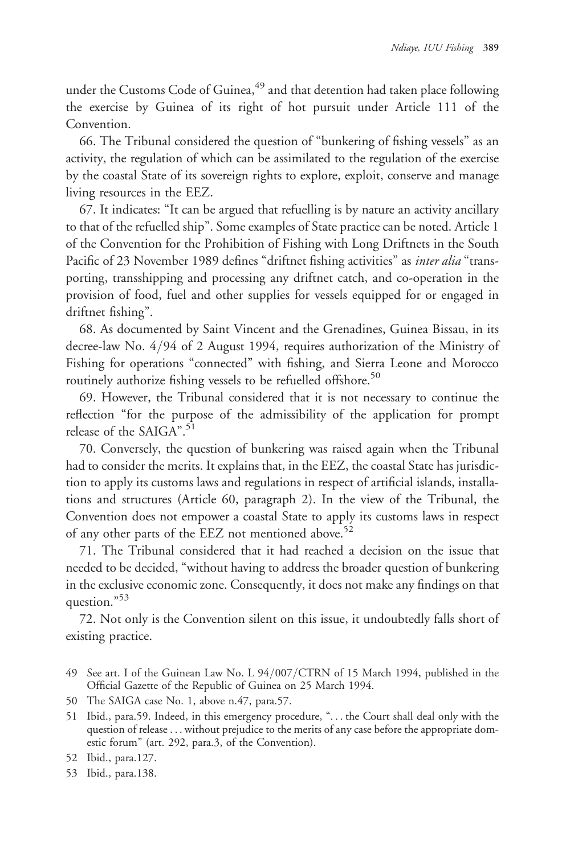under the Customs Code of Guinea,<sup>49</sup> and that detention had taken place following the exercise by Guinea of its right of hot pursuit under Article 111 of the Convention.

66. The Tribunal considered the question of "bunkering of fishing vessels" as an activity, the regulation of which can be assimilated to the regulation of the exercise by the coastal State of its sovereign rights to explore, exploit, conserve and manage living resources in the EEZ.

67. It indicates: "It can be argued that refuelling is by nature an activity ancillary to that of the refuelled ship". Some examples of State practice can be noted. Article 1 of the Convention for the Prohibition of Fishing with Long Driftnets in the South Pacific of 23 November 1989 defines "driftnet fishing activities" as *inter alia* "transporting, transshipping and processing any driftnet catch, and co-operation in the provision of food, fuel and other supplies for vessels equipped for or engaged in driftnet fishing".

68. As documented by Saint Vincent and the Grenadines, Guinea Bissau, in its decree-law No. 4/94 of 2 August 1994, requires authorization of the Ministry of Fishing for operations "connected" with fishing, and Sierra Leone and Morocco routinely authorize fishing vessels to be refuelled offshore.<sup>50</sup>

69. However, the Tribunal considered that it is not necessary to continue the reflection "for the purpose of the admissibility of the application for prompt release of the SAIGA" 51

70. Conversely, the question of bunkering was raised again when the Tribunal had to consider the merits. It explains that, in the EEZ, the coastal State has jurisdiction to apply its customs laws and regulations in respect of artificial islands, installations and structures (Article 60, paragraph 2). In the view of the Tribunal, the Convention does not empower a coastal State to apply its customs laws in respect of any other parts of the EEZ not mentioned above.<sup>52</sup>

71. The Tribunal considered that it had reached a decision on the issue that needed to be decided, "without having to address the broader question of bunkering in the exclusive economic zone. Consequently, it does not make any findings on that question."<sup>53</sup>

72. Not only is the Convention silent on this issue, it undoubtedly falls short of existing practice.

- 50 The SAIGA case No. 1, above n.47, para.57.
- 51 Ibid., para.59. Indeed, in this emergency procedure, "... the Court shall deal only with the question of release ... without prejudice to the merits of any case before the appropriate domestic forum" (art. 292, para.3, of the Convention).

53 Ibid., para.138.

<sup>49</sup> See art. I of the Guinean Law No. L 94/007/CTRN of 15 March 1994, published in the Official Gazette of the Republic of Guinea on 25 March 1994.

<sup>52</sup> Ibid., para.127.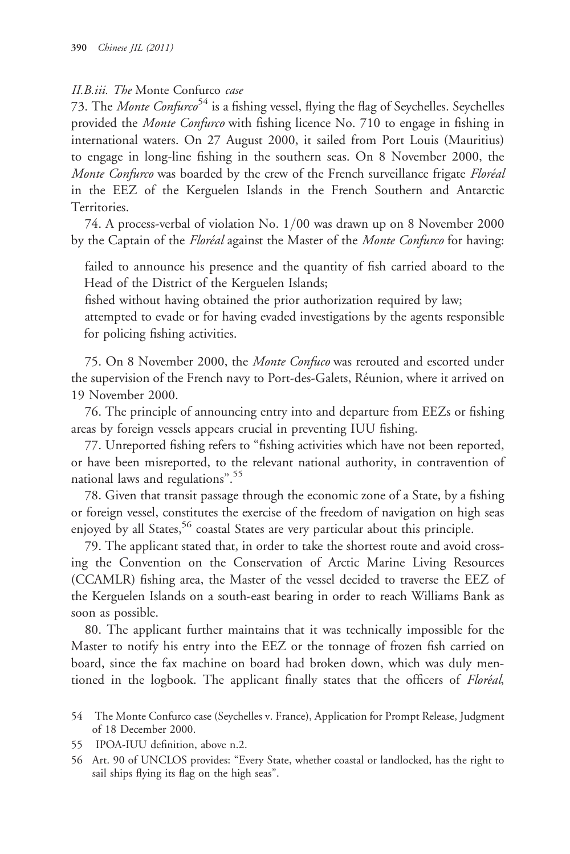#### II.B.iii. The Monte Confurco case

73. The Monte Confurco<sup>54</sup> is a fishing vessel, flying the flag of Seychelles. Seychelles provided the Monte Confurco with fishing licence No. 710 to engage in fishing in international waters. On 27 August 2000, it sailed from Port Louis (Mauritius) to engage in long-line fishing in the southern seas. On 8 November 2000, the Monte Confurco was boarded by the crew of the French surveillance frigate Floréal in the EEZ of the Kerguelen Islands in the French Southern and Antarctic Territories.

74. A process-verbal of violation No. 1/00 was drawn up on 8 November 2000 by the Captain of the Floréal against the Master of the Monte Confurco for having:

failed to announce his presence and the quantity of fish carried aboard to the Head of the District of the Kerguelen Islands;

fished without having obtained the prior authorization required by law;

attempted to evade or for having evaded investigations by the agents responsible for policing fishing activities.

75. On 8 November 2000, the Monte Confuco was rerouted and escorted under the supervision of the French navy to Port-des-Galets, Réunion, where it arrived on 19 November 2000.

76. The principle of announcing entry into and departure from EEZs or fishing areas by foreign vessels appears crucial in preventing IUU fishing.

77. Unreported fishing refers to "fishing activities which have not been reported, or have been misreported, to the relevant national authority, in contravention of national laws and regulations".55

78. Given that transit passage through the economic zone of a State, by a fishing or foreign vessel, constitutes the exercise of the freedom of navigation on high seas enjoyed by all States,<sup>56</sup> coastal States are very particular about this principle.

79. The applicant stated that, in order to take the shortest route and avoid crossing the Convention on the Conservation of Arctic Marine Living Resources (CCAMLR) fishing area, the Master of the vessel decided to traverse the EEZ of the Kerguelen Islands on a south-east bearing in order to reach Williams Bank as soon as possible.

80. The applicant further maintains that it was technically impossible for the Master to notify his entry into the EEZ or the tonnage of frozen fish carried on board, since the fax machine on board had broken down, which was duly mentioned in the logbook. The applicant finally states that the officers of Floréal,

- 54 The Monte Confurco case (Seychelles v. France), Application for Prompt Release, Judgment of 18 December 2000.
- 55 IPOA-IUU definition, above n.2.
- 56 Art. 90 of UNCLOS provides: "Every State, whether coastal or landlocked, has the right to sail ships flying its flag on the high seas".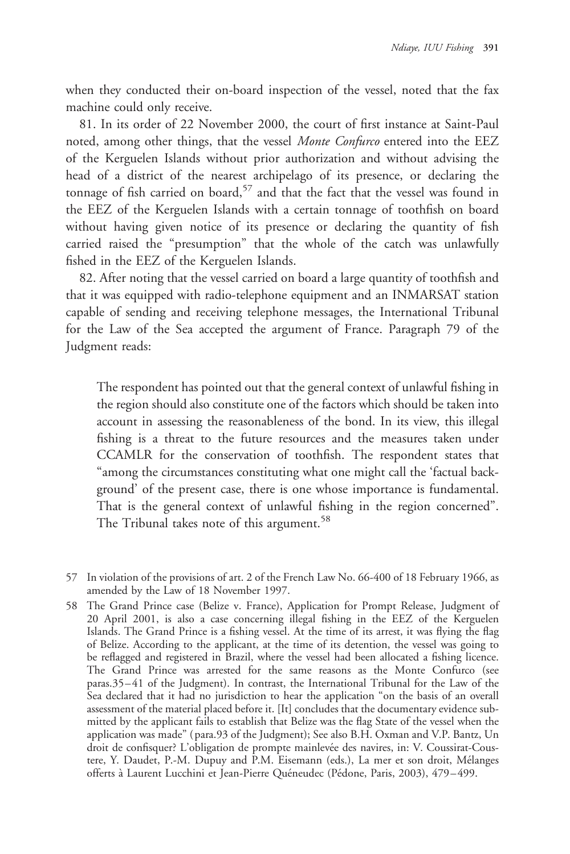when they conducted their on-board inspection of the vessel, noted that the fax machine could only receive.

81. In its order of 22 November 2000, the court of first instance at Saint-Paul noted, among other things, that the vessel Monte Confurco entered into the EEZ of the Kerguelen Islands without prior authorization and without advising the head of a district of the nearest archipelago of its presence, or declaring the tonnage of fish carried on board,  $57$  and that the fact that the vessel was found in the EEZ of the Kerguelen Islands with a certain tonnage of toothfish on board without having given notice of its presence or declaring the quantity of fish carried raised the "presumption" that the whole of the catch was unlawfully fished in the EEZ of the Kerguelen Islands.

82. After noting that the vessel carried on board a large quantity of toothfish and that it was equipped with radio-telephone equipment and an INMARSAT station capable of sending and receiving telephone messages, the International Tribunal for the Law of the Sea accepted the argument of France. Paragraph 79 of the Judgment reads:

The respondent has pointed out that the general context of unlawful fishing in the region should also constitute one of the factors which should be taken into account in assessing the reasonableness of the bond. In its view, this illegal fishing is a threat to the future resources and the measures taken under CCAMLR for the conservation of toothfish. The respondent states that "among the circumstances constituting what one might call the 'factual background' of the present case, there is one whose importance is fundamental. That is the general context of unlawful fishing in the region concerned". The Tribunal takes note of this argument.<sup>58</sup>

- 57 In violation of the provisions of art. 2 of the French Law No. 66-400 of 18 February 1966, as amended by the Law of 18 November 1997.
- 58 The Grand Prince case (Belize v. France), Application for Prompt Release, Judgment of 20 April 2001, is also a case concerning illegal fishing in the EEZ of the Kerguelen Islands. The Grand Prince is a fishing vessel. At the time of its arrest, it was flying the flag of Belize. According to the applicant, at the time of its detention, the vessel was going to be reflagged and registered in Brazil, where the vessel had been allocated a fishing licence. The Grand Prince was arrested for the same reasons as the Monte Confurco (see paras.35 –41 of the Judgment). In contrast, the International Tribunal for the Law of the Sea declared that it had no jurisdiction to hear the application "on the basis of an overall assessment of the material placed before it. [It] concludes that the documentary evidence submitted by the applicant fails to establish that Belize was the flag State of the vessel when the application was made" ( para.93 of the Judgment); See also B.H. Oxman and V.P. Bantz, Un droit de confisquer? L'obligation de prompte mainlevée des navires, in: V. Coussirat-Coustere, Y. Daudet, P.-M. Dupuy and P.M. Eisemann (eds.), La mer et son droit, Mélanges offerts à Laurent Lucchini et Jean-Pierre Quéneudec (Pédone, Paris, 2003), 479-499.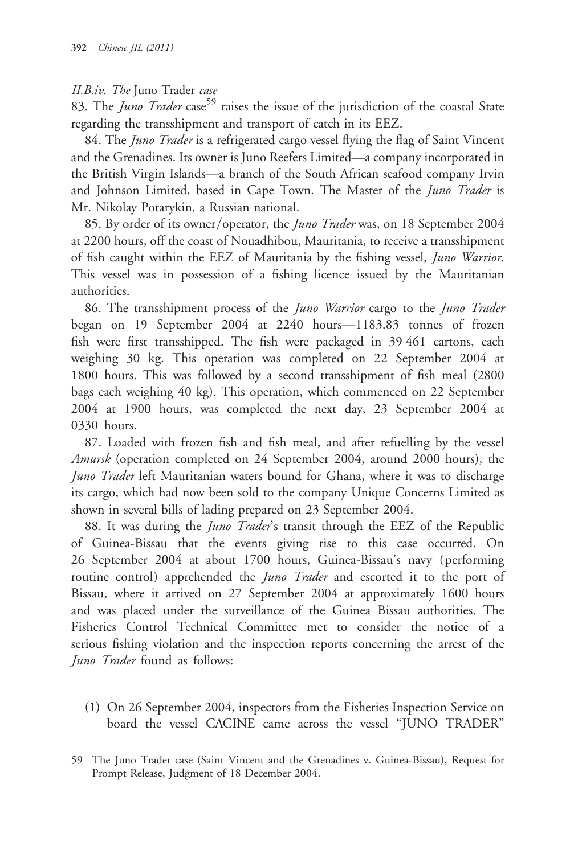#### II.B.iv. The Juno Trader case

83. The *Juno Trader* case<sup>59</sup> raises the issue of the jurisdiction of the coastal State regarding the transshipment and transport of catch in its EEZ.

84. The Juno Trader is a refrigerated cargo vessel flying the flag of Saint Vincent and the Grenadines. Its owner is Juno Reefers Limited—a company incorporated in the British Virgin Islands—a branch of the South African seafood company Irvin and Johnson Limited, based in Cape Town. The Master of the Juno Trader is Mr. Nikolay Potarykin, a Russian national.

85. By order of its owner/operator, the *Juno Trader* was, on 18 September 2004 at 2200 hours, off the coast of Nouadhibou, Mauritania, to receive a transshipment of fish caught within the EEZ of Mauritania by the fishing vessel, Juno Warrior. This vessel was in possession of a fishing licence issued by the Mauritanian authorities.

86. The transshipment process of the *Juno Warrior* cargo to the *Juno Trader* began on 19 September 2004 at 2240 hours—1183.83 tonnes of frozen fish were first transshipped. The fish were packaged in 39 461 cartons, each weighing 30 kg. This operation was completed on 22 September 2004 at 1800 hours. This was followed by a second transshipment of fish meal (2800 bags each weighing 40 kg). This operation, which commenced on 22 September 2004 at 1900 hours, was completed the next day, 23 September 2004 at 0330 hours.

87. Loaded with frozen fish and fish meal, and after refuelling by the vessel Amursk (operation completed on 24 September 2004, around 2000 hours), the Juno Trader left Mauritanian waters bound for Ghana, where it was to discharge its cargo, which had now been sold to the company Unique Concerns Limited as shown in several bills of lading prepared on 23 September 2004.

88. It was during the *Juno Trader's* transit through the EEZ of the Republic of Guinea-Bissau that the events giving rise to this case occurred. On 26 September 2004 at about 1700 hours, Guinea-Bissau's navy ( performing routine control) apprehended the Juno Trader and escorted it to the port of Bissau, where it arrived on 27 September 2004 at approximately 1600 hours and was placed under the surveillance of the Guinea Bissau authorities. The Fisheries Control Technical Committee met to consider the notice of a serious fishing violation and the inspection reports concerning the arrest of the Juno Trader found as follows:

(1) On 26 September 2004, inspectors from the Fisheries Inspection Service on board the vessel CACINE came across the vessel "JUNO TRADER"

<sup>59</sup> The Juno Trader case (Saint Vincent and the Grenadines v. Guinea-Bissau), Request for Prompt Release, Judgment of 18 December 2004.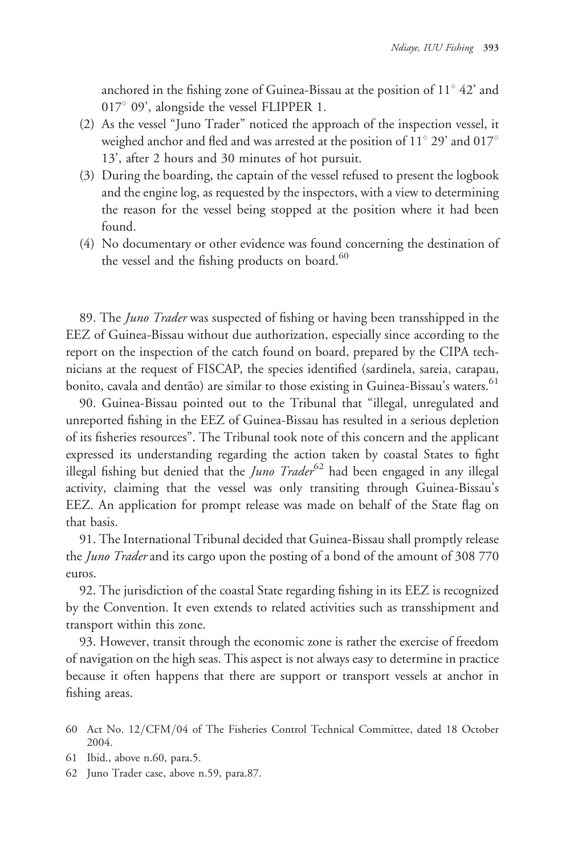anchored in the fishing zone of Guinea-Bissau at the position of  $11^{\circ}$  42' and  $017^{\circ}$  09', alongside the vessel FLIPPER 1.

- (2) As the vessel "Juno Trader" noticed the approach of the inspection vessel, it weighed anchor and fled and was arrested at the position of  $11^{\circ}$  29' and 017 $^{\circ}$ 13', after 2 hours and 30 minutes of hot pursuit.
- (3) During the boarding, the captain of the vessel refused to present the logbook and the engine log, as requested by the inspectors, with a view to determining the reason for the vessel being stopped at the position where it had been found.
- (4) No documentary or other evidence was found concerning the destination of the vessel and the fishing products on board. $^{60}$

89. The Juno Trader was suspected of fishing or having been transshipped in the EEZ of Guinea-Bissau without due authorization, especially since according to the report on the inspection of the catch found on board, prepared by the CIPA technicians at the request of FISCAP, the species identified (sardinela, sareia, carapau, bonito, cavala and dentão) are similar to those existing in Guinea-Bissau's waters.<sup>61</sup>

90. Guinea-Bissau pointed out to the Tribunal that "illegal, unregulated and unreported fishing in the EEZ of Guinea-Bissau has resulted in a serious depletion of its fisheries resources". The Tribunal took note of this concern and the applicant expressed its understanding regarding the action taken by coastal States to fight illegal fishing but denied that the *Juno Trader*<sup>62</sup> had been engaged in any illegal activity, claiming that the vessel was only transiting through Guinea-Bissau's EEZ. An application for prompt release was made on behalf of the State flag on that basis.

91. The International Tribunal decided that Guinea-Bissau shall promptly release the Juno Trader and its cargo upon the posting of a bond of the amount of 308 770 euros.

92. The jurisdiction of the coastal State regarding fishing in its EEZ is recognized by the Convention. It even extends to related activities such as transshipment and transport within this zone.

93. However, transit through the economic zone is rather the exercise of freedom of navigation on the high seas. This aspect is not always easy to determine in practice because it often happens that there are support or transport vessels at anchor in fishing areas.

- 60 Act No. 12/CFM/04 of The Fisheries Control Technical Committee, dated 18 October 2004.
- 61 Ibid., above n.60, para.5.
- 62 Juno Trader case, above n.59, para.87.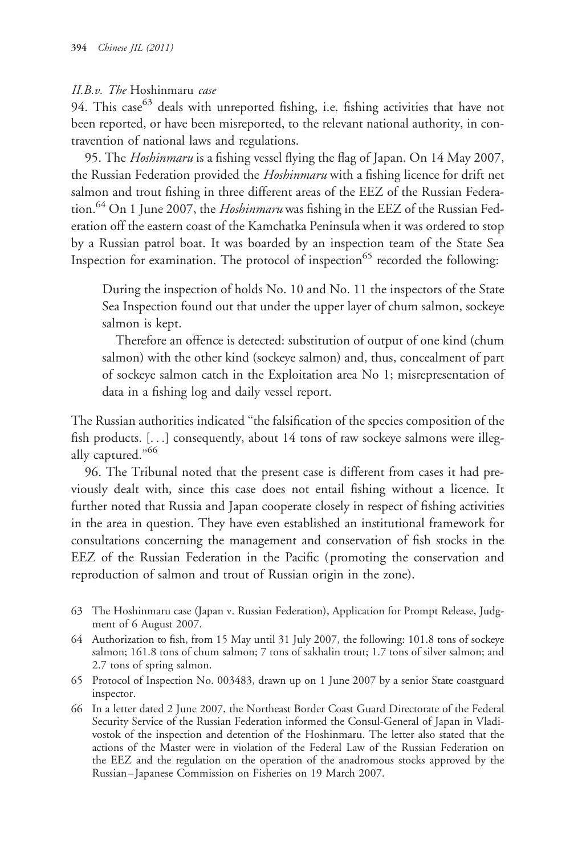#### II.B.v. The Hoshinmaru case

94. This case<sup>63</sup> deals with unreported fishing, i.e. fishing activities that have not been reported, or have been misreported, to the relevant national authority, in contravention of national laws and regulations.

95. The Hoshinmaru is a fishing vessel flying the flag of Japan. On 14 May 2007, the Russian Federation provided the Hoshinmaru with a fishing licence for drift net salmon and trout fishing in three different areas of the EEZ of the Russian Federation.<sup>64</sup> On 1 June 2007, the *Hoshinmaru* was fishing in the EEZ of the Russian Federation off the eastern coast of the Kamchatka Peninsula when it was ordered to stop by a Russian patrol boat. It was boarded by an inspection team of the State Sea Inspection for examination. The protocol of inspection<sup>65</sup> recorded the following:

During the inspection of holds No. 10 and No. 11 the inspectors of the State Sea Inspection found out that under the upper layer of chum salmon, sockeye salmon is kept.

Therefore an offence is detected: substitution of output of one kind (chum salmon) with the other kind (sockeye salmon) and, thus, concealment of part of sockeye salmon catch in the Exploitation area No 1; misrepresentation of data in a fishing log and daily vessel report.

The Russian authorities indicated "the falsification of the species composition of the fish products. [...] consequently, about 14 tons of raw sockeye salmons were illegally captured."66

96. The Tribunal noted that the present case is different from cases it had previously dealt with, since this case does not entail fishing without a licence. It further noted that Russia and Japan cooperate closely in respect of fishing activities in the area in question. They have even established an institutional framework for consultations concerning the management and conservation of fish stocks in the EEZ of the Russian Federation in the Pacific ( promoting the conservation and reproduction of salmon and trout of Russian origin in the zone).

- 63 The Hoshinmaru case (Japan v. Russian Federation), Application for Prompt Release, Judgment of 6 August 2007.
- 64 Authorization to fish, from 15 May until 31 July 2007, the following: 101.8 tons of sockeye salmon; 161.8 tons of chum salmon; 7 tons of sakhalin trout; 1.7 tons of silver salmon; and 2.7 tons of spring salmon.
- 65 Protocol of Inspection No. 003483, drawn up on 1 June 2007 by a senior State coastguard inspector.
- 66 In a letter dated 2 June 2007, the Northeast Border Coast Guard Directorate of the Federal Security Service of the Russian Federation informed the Consul-General of Japan in Vladivostok of the inspection and detention of the Hoshinmaru. The letter also stated that the actions of the Master were in violation of the Federal Law of the Russian Federation on the EEZ and the regulation on the operation of the anadromous stocks approved by the Russian – Japanese Commission on Fisheries on 19 March 2007.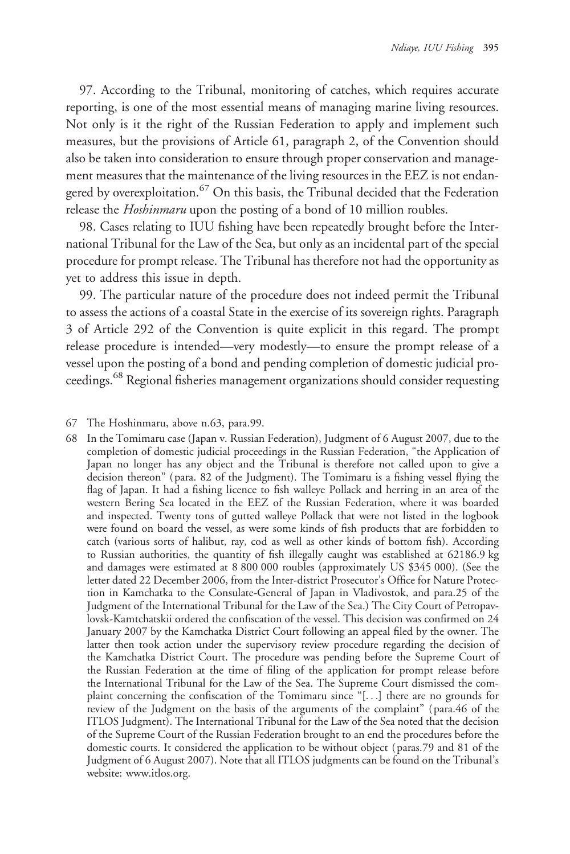97. According to the Tribunal, monitoring of catches, which requires accurate reporting, is one of the most essential means of managing marine living resources. Not only is it the right of the Russian Federation to apply and implement such measures, but the provisions of Article 61, paragraph 2, of the Convention should also be taken into consideration to ensure through proper conservation and management measures that the maintenance of the living resources in the EEZ is not endangered by overexploitation.<sup>67</sup> On this basis, the Tribunal decided that the Federation release the *Hoshinmaru* upon the posting of a bond of 10 million roubles.

98. Cases relating to IUU fishing have been repeatedly brought before the International Tribunal for the Law of the Sea, but only as an incidental part of the special procedure for prompt release. The Tribunal has therefore not had the opportunity as yet to address this issue in depth.

99. The particular nature of the procedure does not indeed permit the Tribunal to assess the actions of a coastal State in the exercise of its sovereign rights. Paragraph 3 of Article 292 of the Convention is quite explicit in this regard. The prompt release procedure is intended—very modestly—to ensure the prompt release of a vessel upon the posting of a bond and pending completion of domestic judicial proceedings.<sup>68</sup> Regional fisheries management organizations should consider requesting

67 The Hoshinmaru, above n.63, para.99.

68 In the Tomimaru case (Japan v. Russian Federation), Judgment of 6 August 2007, due to the completion of domestic judicial proceedings in the Russian Federation, "the Application of Japan no longer has any object and the Tribunal is therefore not called upon to give a decision thereon" (para. 82 of the Judgment). The Tomimaru is a fishing vessel flying the flag of Japan. It had a fishing licence to fish walleye Pollack and herring in an area of the western Bering Sea located in the EEZ of the Russian Federation, where it was boarded and inspected. Twenty tons of gutted walleye Pollack that were not listed in the logbook were found on board the vessel, as were some kinds of fish products that are forbidden to catch (various sorts of halibut, ray, cod as well as other kinds of bottom fish). According to Russian authorities, the quantity of fish illegally caught was established at 62186.9 kg and damages were estimated at 8 800 000 roubles (approximately US \$345 000). (See the letter dated 22 December 2006, from the Inter-district Prosecutor's Office for Nature Protection in Kamchatka to the Consulate-General of Japan in Vladivostok, and para.25 of the Judgment of the International Tribunal for the Law of the Sea.) The City Court of Petropavlovsk-Kamtchatskii ordered the confiscation of the vessel. This decision was confirmed on 24 January 2007 by the Kamchatka District Court following an appeal filed by the owner. The latter then took action under the supervisory review procedure regarding the decision of the Kamchatka District Court. The procedure was pending before the Supreme Court of the Russian Federation at the time of filing of the application for prompt release before the International Tribunal for the Law of the Sea. The Supreme Court dismissed the complaint concerning the confiscation of the Tomimaru since "[...] there are no grounds for review of the Judgment on the basis of the arguments of the complaint" ( para.46 of the ITLOS Judgment). The International Tribunal for the Law of the Sea noted that the decision of the Supreme Court of the Russian Federation brought to an end the procedures before the domestic courts. It considered the application to be without object ( paras.79 and 81 of the Judgment of 6 August 2007). Note that all ITLOS judgments can be found on the Tribunal's website: www.itlos.org.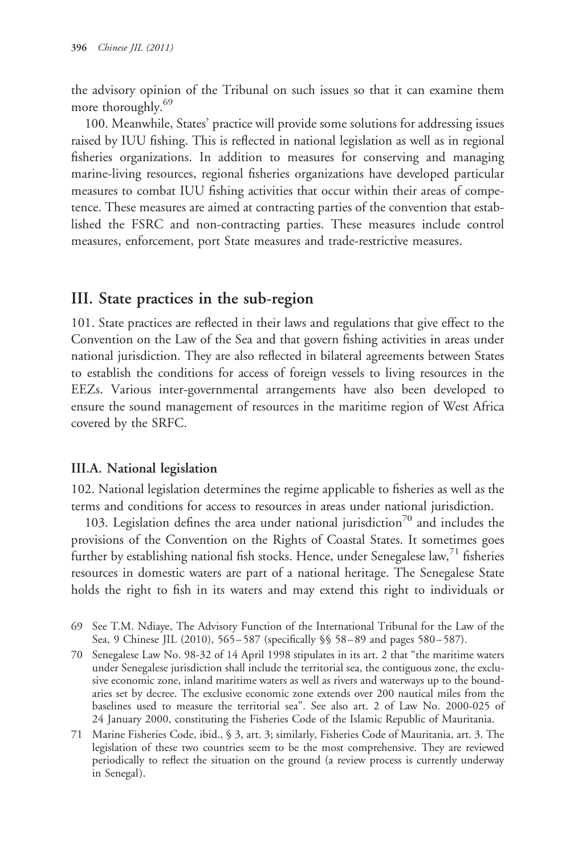the advisory opinion of the Tribunal on such issues so that it can examine them more thoroughly.<sup>69</sup>

100. Meanwhile, States' practice will provide some solutions for addressing issues raised by IUU fishing. This is reflected in national legislation as well as in regional fisheries organizations. In addition to measures for conserving and managing marine-living resources, regional fisheries organizations have developed particular measures to combat IUU fishing activities that occur within their areas of competence. These measures are aimed at contracting parties of the convention that established the FSRC and non-contracting parties. These measures include control measures, enforcement, port State measures and trade-restrictive measures.

# III. State practices in the sub-region

101. State practices are reflected in their laws and regulations that give effect to the Convention on the Law of the Sea and that govern fishing activities in areas under national jurisdiction. They are also reflected in bilateral agreements between States to establish the conditions for access of foreign vessels to living resources in the EEZs. Various inter-governmental arrangements have also been developed to ensure the sound management of resources in the maritime region of West Africa covered by the SRFC.

## III.A. National legislation

102. National legislation determines the regime applicable to fisheries as well as the terms and conditions for access to resources in areas under national jurisdiction.

103. Legislation defines the area under national jurisdiction<sup>70</sup> and includes the provisions of the Convention on the Rights of Coastal States. It sometimes goes further by establishing national fish stocks. Hence, under Senegalese law, $^{71}$  fisheries resources in domestic waters are part of a national heritage. The Senegalese State holds the right to fish in its waters and may extend this right to individuals or

- 69 See T.M. Ndiaye, The Advisory Function of the International Tribunal for the Law of the Sea, 9 Chinese JIL (2010), 565–587 (specifically §§ 58–89 and pages 580–587).
- 70 Senegalese Law No. 98-32 of 14 April 1998 stipulates in its art. 2 that "the maritime waters under Senegalese jurisdiction shall include the territorial sea, the contiguous zone, the exclusive economic zone, inland maritime waters as well as rivers and waterways up to the boundaries set by decree. The exclusive economic zone extends over 200 nautical miles from the baselines used to measure the territorial sea". See also art. 2 of Law No. 2000-025 of 24 January 2000, constituting the Fisheries Code of the Islamic Republic of Mauritania.
- 71 Marine Fisheries Code, ibid., § 3, art. 3; similarly, Fisheries Code of Mauritania, art. 3. The legislation of these two countries seem to be the most comprehensive. They are reviewed periodically to reflect the situation on the ground (a review process is currently underway in Senegal).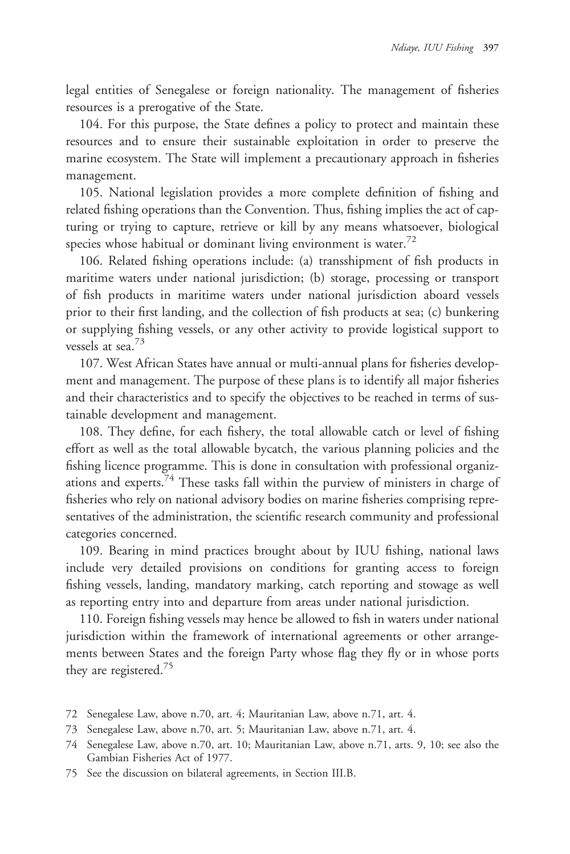legal entities of Senegalese or foreign nationality. The management of fisheries resources is a prerogative of the State.

104. For this purpose, the State defines a policy to protect and maintain these resources and to ensure their sustainable exploitation in order to preserve the marine ecosystem. The State will implement a precautionary approach in fisheries management.

105. National legislation provides a more complete definition of fishing and related fishing operations than the Convention. Thus, fishing implies the act of capturing or trying to capture, retrieve or kill by any means whatsoever, biological species whose habitual or dominant living environment is water.<sup>72</sup>

106. Related fishing operations include: (a) transshipment of fish products in maritime waters under national jurisdiction; (b) storage, processing or transport of fish products in maritime waters under national jurisdiction aboard vessels prior to their first landing, and the collection of fish products at sea; (c) bunkering or supplying fishing vessels, or any other activity to provide logistical support to vessels at sea.<sup>73</sup>

107. West African States have annual or multi-annual plans for fisheries development and management. The purpose of these plans is to identify all major fisheries and their characteristics and to specify the objectives to be reached in terms of sustainable development and management.

108. They define, for each fishery, the total allowable catch or level of fishing effort as well as the total allowable bycatch, the various planning policies and the fishing licence programme. This is done in consultation with professional organizations and experts.74 These tasks fall within the purview of ministers in charge of fisheries who rely on national advisory bodies on marine fisheries comprising representatives of the administration, the scientific research community and professional categories concerned.

109. Bearing in mind practices brought about by IUU fishing, national laws include very detailed provisions on conditions for granting access to foreign fishing vessels, landing, mandatory marking, catch reporting and stowage as well as reporting entry into and departure from areas under national jurisdiction.

110. Foreign fishing vessels may hence be allowed to fish in waters under national jurisdiction within the framework of international agreements or other arrangements between States and the foreign Party whose flag they fly or in whose ports they are registered.<sup>75</sup>

- 72 Senegalese Law, above n.70, art. 4; Mauritanian Law, above n.71, art. 4.
- 73 Senegalese Law, above n.70, art. 5; Mauritanian Law, above n.71, art. 4.
- 74 Senegalese Law, above n.70, art. 10; Mauritanian Law, above n.71, arts. 9, 10; see also the Gambian Fisheries Act of 1977.
- 75 See the discussion on bilateral agreements, in Section III.B.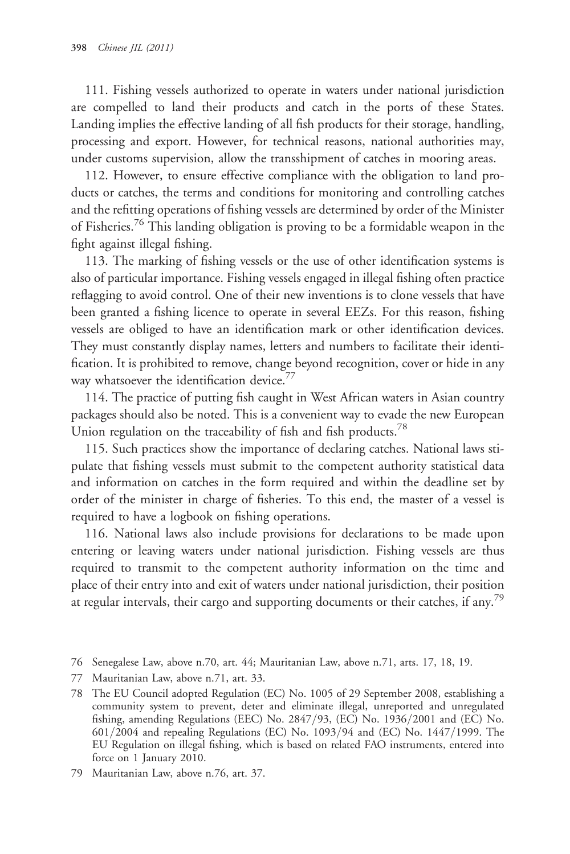111. Fishing vessels authorized to operate in waters under national jurisdiction are compelled to land their products and catch in the ports of these States. Landing implies the effective landing of all fish products for their storage, handling, processing and export. However, for technical reasons, national authorities may, under customs supervision, allow the transshipment of catches in mooring areas.

112. However, to ensure effective compliance with the obligation to land products or catches, the terms and conditions for monitoring and controlling catches and the refitting operations of fishing vessels are determined by order of the Minister of Fisheries.76 This landing obligation is proving to be a formidable weapon in the fight against illegal fishing.

113. The marking of fishing vessels or the use of other identification systems is also of particular importance. Fishing vessels engaged in illegal fishing often practice reflagging to avoid control. One of their new inventions is to clone vessels that have been granted a fishing licence to operate in several EEZs. For this reason, fishing vessels are obliged to have an identification mark or other identification devices. They must constantly display names, letters and numbers to facilitate their identification. It is prohibited to remove, change beyond recognition, cover or hide in any way whatsoever the identification device.<sup>77</sup>

114. The practice of putting fish caught in West African waters in Asian country packages should also be noted. This is a convenient way to evade the new European Union regulation on the traceability of fish and fish products.<sup>78</sup>

115. Such practices show the importance of declaring catches. National laws stipulate that fishing vessels must submit to the competent authority statistical data and information on catches in the form required and within the deadline set by order of the minister in charge of fisheries. To this end, the master of a vessel is required to have a logbook on fishing operations.

116. National laws also include provisions for declarations to be made upon entering or leaving waters under national jurisdiction. Fishing vessels are thus required to transmit to the competent authority information on the time and place of their entry into and exit of waters under national jurisdiction, their position at regular intervals, their cargo and supporting documents or their catches, if any.<sup>79</sup>

77 Mauritanian Law, above n.71, art. 33.

<sup>76</sup> Senegalese Law, above n.70, art. 44; Mauritanian Law, above n.71, arts. 17, 18, 19.

<sup>78</sup> The EU Council adopted Regulation (EC) No. 1005 of 29 September 2008, establishing a community system to prevent, deter and eliminate illegal, unreported and unregulated fishing, amending Regulations (EEC) No. 2847/93, (EC) No. 1936/2001 and (EC) No. 601/2004 and repealing Regulations (EC) No. 1093/94 and (EC) No. 1447/1999. The EU Regulation on illegal fishing, which is based on related FAO instruments, entered into force on 1 January 2010.

<sup>79</sup> Mauritanian Law, above n.76, art. 37.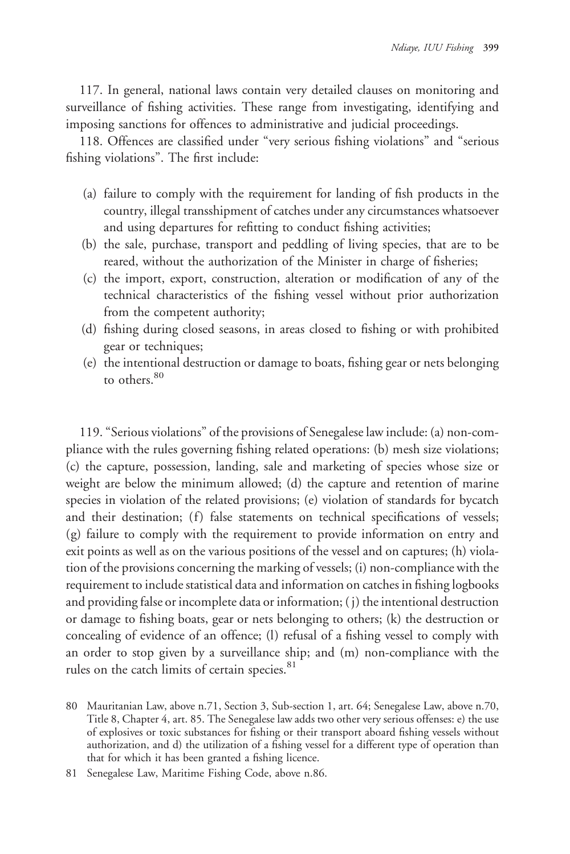117. In general, national laws contain very detailed clauses on monitoring and surveillance of fishing activities. These range from investigating, identifying and imposing sanctions for offences to administrative and judicial proceedings.

118. Offences are classified under "very serious fishing violations" and "serious fishing violations". The first include:

- (a) failure to comply with the requirement for landing of fish products in the country, illegal transshipment of catches under any circumstances whatsoever and using departures for refitting to conduct fishing activities;
- (b) the sale, purchase, transport and peddling of living species, that are to be reared, without the authorization of the Minister in charge of fisheries;
- (c) the import, export, construction, alteration or modification of any of the technical characteristics of the fishing vessel without prior authorization from the competent authority;
- (d) fishing during closed seasons, in areas closed to fishing or with prohibited gear or techniques;
- (e) the intentional destruction or damage to boats, fishing gear or nets belonging to others<sup>80</sup>

119. "Serious violations" of the provisions of Senegalese law include: (a) non-compliance with the rules governing fishing related operations: (b) mesh size violations; (c) the capture, possession, landing, sale and marketing of species whose size or weight are below the minimum allowed; (d) the capture and retention of marine species in violation of the related provisions; (e) violation of standards for bycatch and their destination; (f) false statements on technical specifications of vessels; (g) failure to comply with the requirement to provide information on entry and exit points as well as on the various positions of the vessel and on captures; (h) violation of the provisions concerning the marking of vessels; (i) non-compliance with the requirement to include statistical data and information on catches in fishing logbooks and providing false or incomplete data or information; ( j) the intentional destruction or damage to fishing boats, gear or nets belonging to others; (k) the destruction or concealing of evidence of an offence; (l) refusal of a fishing vessel to comply with an order to stop given by a surveillance ship; and (m) non-compliance with the rules on the catch limits of certain species. $81$ 

<sup>80</sup> Mauritanian Law, above n.71, Section 3, Sub-section 1, art. 64; Senegalese Law, above n.70, Title 8, Chapter 4, art. 85. The Senegalese law adds two other very serious offenses: e) the use of explosives or toxic substances for fishing or their transport aboard fishing vessels without authorization, and d) the utilization of a fishing vessel for a different type of operation than that for which it has been granted a fishing licence.

<sup>81</sup> Senegalese Law, Maritime Fishing Code, above n.86.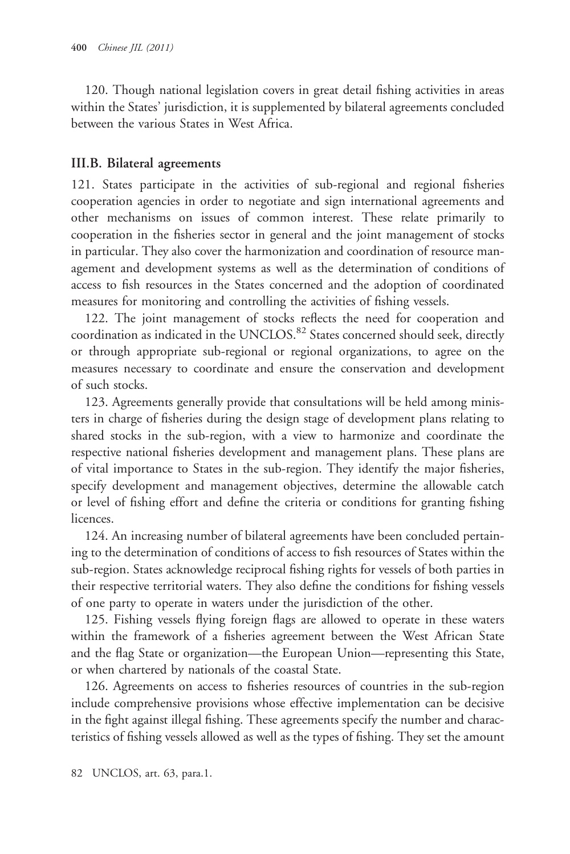120. Though national legislation covers in great detail fishing activities in areas within the States' jurisdiction, it is supplemented by bilateral agreements concluded between the various States in West Africa.

## III.B. Bilateral agreements

121. States participate in the activities of sub-regional and regional fisheries cooperation agencies in order to negotiate and sign international agreements and other mechanisms on issues of common interest. These relate primarily to cooperation in the fisheries sector in general and the joint management of stocks in particular. They also cover the harmonization and coordination of resource management and development systems as well as the determination of conditions of access to fish resources in the States concerned and the adoption of coordinated measures for monitoring and controlling the activities of fishing vessels.

122. The joint management of stocks reflects the need for cooperation and coordination as indicated in the UNCLOS.<sup>82</sup> States concerned should seek, directly or through appropriate sub-regional or regional organizations, to agree on the measures necessary to coordinate and ensure the conservation and development of such stocks.

123. Agreements generally provide that consultations will be held among ministers in charge of fisheries during the design stage of development plans relating to shared stocks in the sub-region, with a view to harmonize and coordinate the respective national fisheries development and management plans. These plans are of vital importance to States in the sub-region. They identify the major fisheries, specify development and management objectives, determine the allowable catch or level of fishing effort and define the criteria or conditions for granting fishing licences.

124. An increasing number of bilateral agreements have been concluded pertaining to the determination of conditions of access to fish resources of States within the sub-region. States acknowledge reciprocal fishing rights for vessels of both parties in their respective territorial waters. They also define the conditions for fishing vessels of one party to operate in waters under the jurisdiction of the other.

125. Fishing vessels flying foreign flags are allowed to operate in these waters within the framework of a fisheries agreement between the West African State and the flag State or organization—the European Union—representing this State, or when chartered by nationals of the coastal State.

126. Agreements on access to fisheries resources of countries in the sub-region include comprehensive provisions whose effective implementation can be decisive in the fight against illegal fishing. These agreements specify the number and characteristics of fishing vessels allowed as well as the types of fishing. They set the amount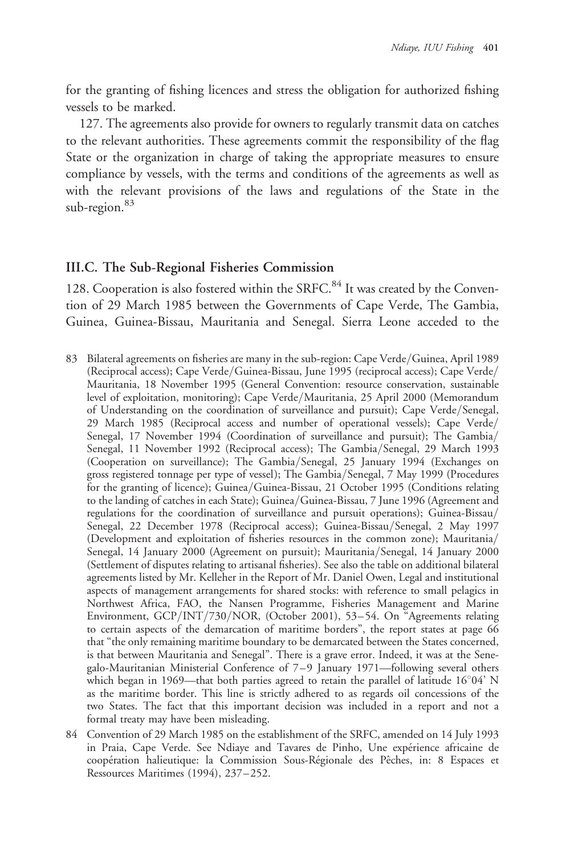for the granting of fishing licences and stress the obligation for authorized fishing vessels to be marked.

127. The agreements also provide for owners to regularly transmit data on catches to the relevant authorities. These agreements commit the responsibility of the flag State or the organization in charge of taking the appropriate measures to ensure compliance by vessels, with the terms and conditions of the agreements as well as with the relevant provisions of the laws and regulations of the State in the sub-region.<sup>83</sup>

#### III.C. The Sub-Regional Fisheries Commission

128. Cooperation is also fostered within the SRFC. $84$  It was created by the Convention of 29 March 1985 between the Governments of Cape Verde, The Gambia, Guinea, Guinea-Bissau, Mauritania and Senegal. Sierra Leone acceded to the

- 83 Bilateral agreements on fisheries are many in the sub-region: Cape Verde/Guinea, April 1989 (Reciprocal access); Cape Verde/Guinea-Bissau, June 1995 (reciprocal access); Cape Verde/ Mauritania, 18 November 1995 (General Convention: resource conservation, sustainable level of exploitation, monitoring); Cape Verde/Mauritania, 25 April 2000 (Memorandum of Understanding on the coordination of surveillance and pursuit); Cape Verde/Senegal, 29 March 1985 (Reciprocal access and number of operational vessels); Cape Verde/ Senegal, 17 November 1994 (Coordination of surveillance and pursuit); The Gambia/ Senegal, 11 November 1992 (Reciprocal access); The Gambia/Senegal, 29 March 1993 (Cooperation on surveillance); The Gambia/Senegal, 25 January 1994 (Exchanges on gross registered tonnage per type of vessel); The Gambia/Senegal, 7 May 1999 (Procedures for the granting of licence); Guinea/Guinea-Bissau, 21 October 1995 (Conditions relating to the landing of catches in each State); Guinea/Guinea-Bissau, 7 June 1996 (Agreement and regulations for the coordination of surveillance and pursuit operations); Guinea-Bissau/ Senegal, 22 December 1978 (Reciprocal access); Guinea-Bissau/Senegal, 2 May 1997 (Development and exploitation of fisheries resources in the common zone); Mauritania/ Senegal, 14 January 2000 (Agreement on pursuit); Mauritania/Senegal, 14 January 2000 (Settlement of disputes relating to artisanal fisheries). See also the table on additional bilateral agreements listed by Mr. Kelleher in the Report of Mr. Daniel Owen, Legal and institutional aspects of management arrangements for shared stocks: with reference to small pelagics in Northwest Africa, FAO, the Nansen Programme, Fisheries Management and Marine Environment, GCP/INT/730/NOR, (October 2001), 53–54. On "Agreements relating to certain aspects of the demarcation of maritime borders", the report states at page 66 that "the only remaining maritime boundary to be demarcated between the States concerned, is that between Mauritania and Senegal". There is a grave error. Indeed, it was at the Senegalo-Mauritanian Ministerial Conference of 7–9 January 1971—following several others which began in 1969—that both parties agreed to retain the parallel of latitude  $16^{\circ}04'$  N as the maritime border. This line is strictly adhered to as regards oil concessions of the two States. The fact that this important decision was included in a report and not a formal treaty may have been misleading.
- 84 Convention of 29 March 1985 on the establishment of the SRFC, amended on 14 July 1993 in Praia, Cape Verde. See Ndiaye and Tavares de Pinho, Une expérience africaine de coopération halieutique: la Commission Sous-Régionale des Pêches, in: 8 Espaces et Ressources Maritimes (1994), 237-252.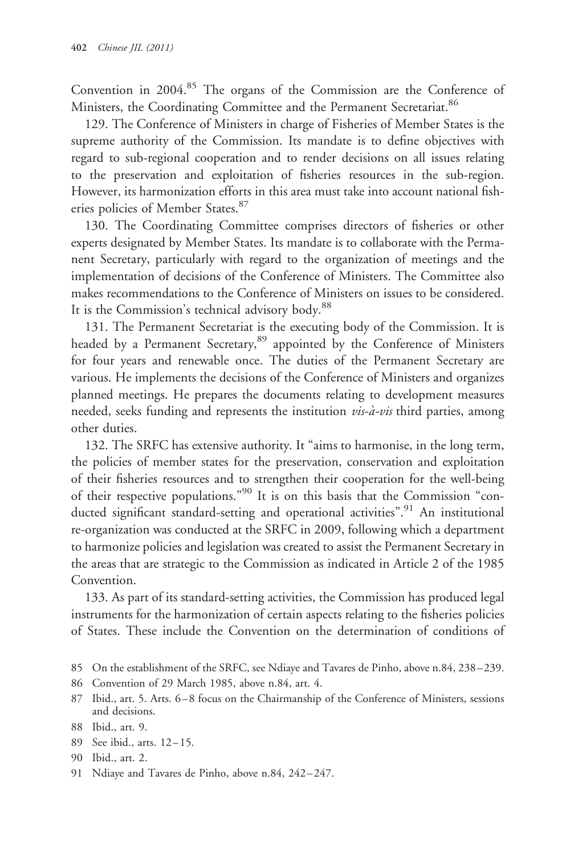Convention in 2004.<sup>85</sup> The organs of the Commission are the Conference of Ministers, the Coordinating Committee and the Permanent Secretariat.<sup>86</sup>

129. The Conference of Ministers in charge of Fisheries of Member States is the supreme authority of the Commission. Its mandate is to define objectives with regard to sub-regional cooperation and to render decisions on all issues relating to the preservation and exploitation of fisheries resources in the sub-region. However, its harmonization efforts in this area must take into account national fisheries policies of Member States.87

130. The Coordinating Committee comprises directors of fisheries or other experts designated by Member States. Its mandate is to collaborate with the Permanent Secretary, particularly with regard to the organization of meetings and the implementation of decisions of the Conference of Ministers. The Committee also makes recommendations to the Conference of Ministers on issues to be considered. It is the Commission's technical advisory body.<sup>88</sup>

131. The Permanent Secretariat is the executing body of the Commission. It is headed by a Permanent Secretary,<sup>89</sup> appointed by the Conference of Ministers for four years and renewable once. The duties of the Permanent Secretary are various. He implements the decisions of the Conference of Ministers and organizes planned meetings. He prepares the documents relating to development measures needed, seeks funding and represents the institution  $vis-a-vis$  third parties, among other duties.

132. The SRFC has extensive authority. It "aims to harmonise, in the long term, the policies of member states for the preservation, conservation and exploitation of their fisheries resources and to strengthen their cooperation for the well-being of their respective populations."90 It is on this basis that the Commission "conducted significant standard-setting and operational activities".<sup>91</sup> An institutional re-organization was conducted at the SRFC in 2009, following which a department to harmonize policies and legislation was created to assist the Permanent Secretary in the areas that are strategic to the Commission as indicated in Article 2 of the 1985 Convention.

133. As part of its standard-setting activities, the Commission has produced legal instruments for the harmonization of certain aspects relating to the fisheries policies of States. These include the Convention on the determination of conditions of

- 86 Convention of 29 March 1985, above n.84, art. 4.
- 87 Ibid., art. 5. Arts. 6–8 focus on the Chairmanship of the Conference of Ministers, sessions and decisions.

- 89 See ibid., arts. 12– 15.
- 90 Ibid., art. 2.
- 91 Ndiaye and Tavares de Pinho, above n.84, 242-247.

<sup>85</sup> On the establishment of the SRFC, see Ndiaye and Tavares de Pinho, above n.84, 238 –239.

<sup>88</sup> Ibid., art. 9.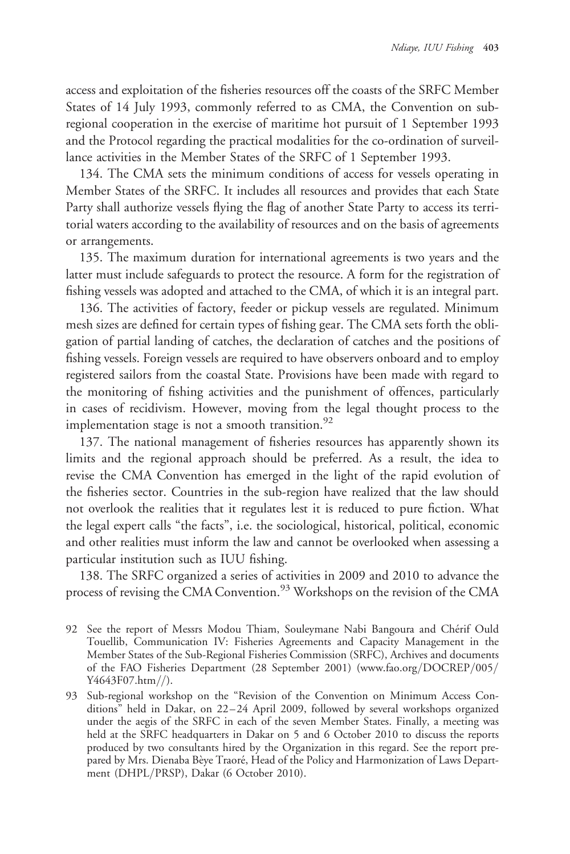access and exploitation of the fisheries resources off the coasts of the SRFC Member States of 14 July 1993, commonly referred to as CMA, the Convention on subregional cooperation in the exercise of maritime hot pursuit of 1 September 1993 and the Protocol regarding the practical modalities for the co-ordination of surveillance activities in the Member States of the SRFC of 1 September 1993.

134. The CMA sets the minimum conditions of access for vessels operating in Member States of the SRFC. It includes all resources and provides that each State Party shall authorize vessels flying the flag of another State Party to access its territorial waters according to the availability of resources and on the basis of agreements or arrangements.

135. The maximum duration for international agreements is two years and the latter must include safeguards to protect the resource. A form for the registration of fishing vessels was adopted and attached to the CMA, of which it is an integral part.

136. The activities of factory, feeder or pickup vessels are regulated. Minimum mesh sizes are defined for certain types of fishing gear. The CMA sets forth the obligation of partial landing of catches, the declaration of catches and the positions of fishing vessels. Foreign vessels are required to have observers onboard and to employ registered sailors from the coastal State. Provisions have been made with regard to the monitoring of fishing activities and the punishment of offences, particularly in cases of recidivism. However, moving from the legal thought process to the implementation stage is not a smooth transition. $^{92}$ 

137. The national management of fisheries resources has apparently shown its limits and the regional approach should be preferred. As a result, the idea to revise the CMA Convention has emerged in the light of the rapid evolution of the fisheries sector. Countries in the sub-region have realized that the law should not overlook the realities that it regulates lest it is reduced to pure fiction. What the legal expert calls "the facts", i.e. the sociological, historical, political, economic and other realities must inform the law and cannot be overlooked when assessing a particular institution such as IUU fishing.

138. The SRFC organized a series of activities in 2009 and 2010 to advance the process of revising the CMA Convention.<sup>93</sup> Workshops on the revision of the CMA

<sup>92</sup> See the report of Messrs Modou Thiam, Souleymane Nabi Bangoura and Chérif Ould Touellib, Communication IV: Fisheries Agreements and Capacity Management in the Member States of the Sub-Regional Fisheries Commission (SRFC), Archives and documents of the FAO Fisheries Department (28 September 2001) (www.fao.org/DOCREP/005/ Y4643F07.htm//).

<sup>93</sup> Sub-regional workshop on the "Revision of the Convention on Minimum Access Conditions" held in Dakar, on 22-24 April 2009, followed by several workshops organized under the aegis of the SRFC in each of the seven Member States. Finally, a meeting was held at the SRFC headquarters in Dakar on 5 and 6 October 2010 to discuss the reports produced by two consultants hired by the Organization in this regard. See the report prepared by Mrs. Dienaba Bèye Traoré, Head of the Policy and Harmonization of Laws Department (DHPL/PRSP), Dakar (6 October 2010).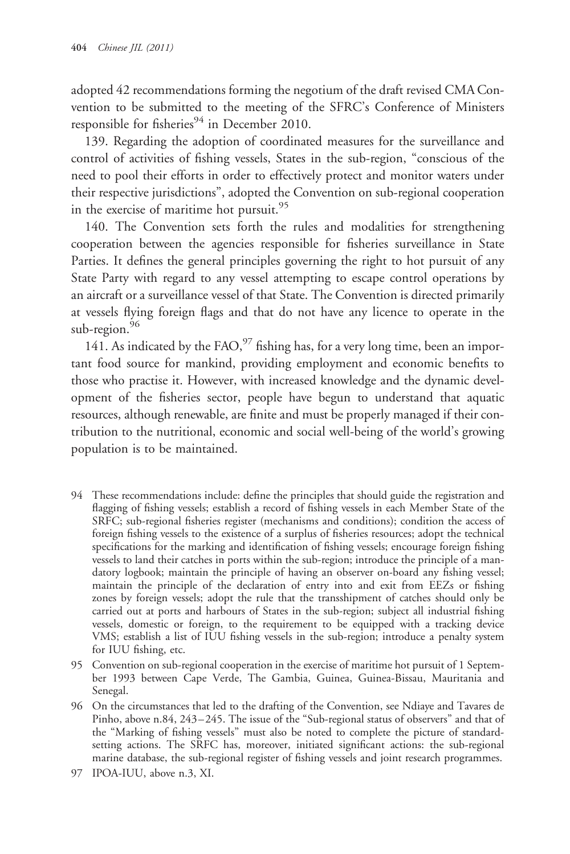adopted 42 recommendations forming the negotium of the draft revised CMA Convention to be submitted to the meeting of the SFRC's Conference of Ministers responsible for fisheries<sup>94</sup> in December 2010.

139. Regarding the adoption of coordinated measures for the surveillance and control of activities of fishing vessels, States in the sub-region, "conscious of the need to pool their efforts in order to effectively protect and monitor waters under their respective jurisdictions", adopted the Convention on sub-regional cooperation in the exercise of maritime hot pursuit.<sup>95</sup>

140. The Convention sets forth the rules and modalities for strengthening cooperation between the agencies responsible for fisheries surveillance in State Parties. It defines the general principles governing the right to hot pursuit of any State Party with regard to any vessel attempting to escape control operations by an aircraft or a surveillance vessel of that State. The Convention is directed primarily at vessels flying foreign flags and that do not have any licence to operate in the sub-region.<sup>96</sup>

141. As indicated by the FAO, $^{97}$  fishing has, for a very long time, been an important food source for mankind, providing employment and economic benefits to those who practise it. However, with increased knowledge and the dynamic development of the fisheries sector, people have begun to understand that aquatic resources, although renewable, are finite and must be properly managed if their contribution to the nutritional, economic and social well-being of the world's growing population is to be maintained.

- 94 These recommendations include: define the principles that should guide the registration and flagging of fishing vessels; establish a record of fishing vessels in each Member State of the SRFC; sub-regional fisheries register (mechanisms and conditions); condition the access of foreign fishing vessels to the existence of a surplus of fisheries resources; adopt the technical specifications for the marking and identification of fishing vessels; encourage foreign fishing vessels to land their catches in ports within the sub-region; introduce the principle of a mandatory logbook; maintain the principle of having an observer on-board any fishing vessel; maintain the principle of the declaration of entry into and exit from EEZs or fishing zones by foreign vessels; adopt the rule that the transshipment of catches should only be carried out at ports and harbours of States in the sub-region; subject all industrial fishing vessels, domestic or foreign, to the requirement to be equipped with a tracking device VMS; establish a list of IUU fishing vessels in the sub-region; introduce a penalty system for IUU fishing, etc.
- 95 Convention on sub-regional cooperation in the exercise of maritime hot pursuit of 1 September 1993 between Cape Verde, The Gambia, Guinea, Guinea-Bissau, Mauritania and Senegal.
- 96 On the circumstances that led to the drafting of the Convention, see Ndiaye and Tavares de Pinho, above n.84, 243–245. The issue of the "Sub-regional status of observers" and that of the "Marking of fishing vessels" must also be noted to complete the picture of standardsetting actions. The SRFC has, moreover, initiated significant actions: the sub-regional marine database, the sub-regional register of fishing vessels and joint research programmes.
- 97 IPOA-IUU, above n.3, XI.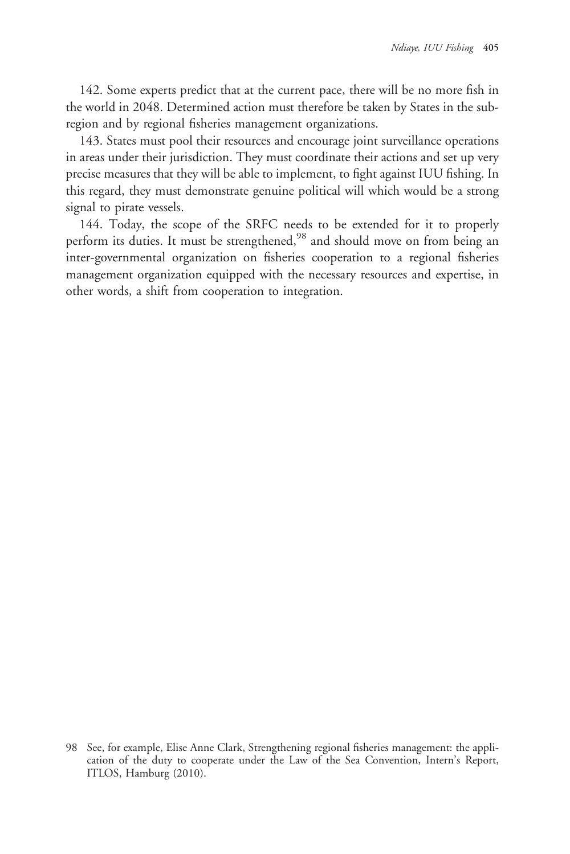142. Some experts predict that at the current pace, there will be no more fish in the world in 2048. Determined action must therefore be taken by States in the subregion and by regional fisheries management organizations.

143. States must pool their resources and encourage joint surveillance operations in areas under their jurisdiction. They must coordinate their actions and set up very precise measures that they will be able to implement, to fight against IUU fishing. In this regard, they must demonstrate genuine political will which would be a strong signal to pirate vessels.

144. Today, the scope of the SRFC needs to be extended for it to properly perform its duties. It must be strengthened,<sup>98</sup> and should move on from being an inter-governmental organization on fisheries cooperation to a regional fisheries management organization equipped with the necessary resources and expertise, in other words, a shift from cooperation to integration.

<sup>98</sup> See, for example, Elise Anne Clark, Strengthening regional fisheries management: the application of the duty to cooperate under the Law of the Sea Convention, Intern's Report, ITLOS, Hamburg (2010).